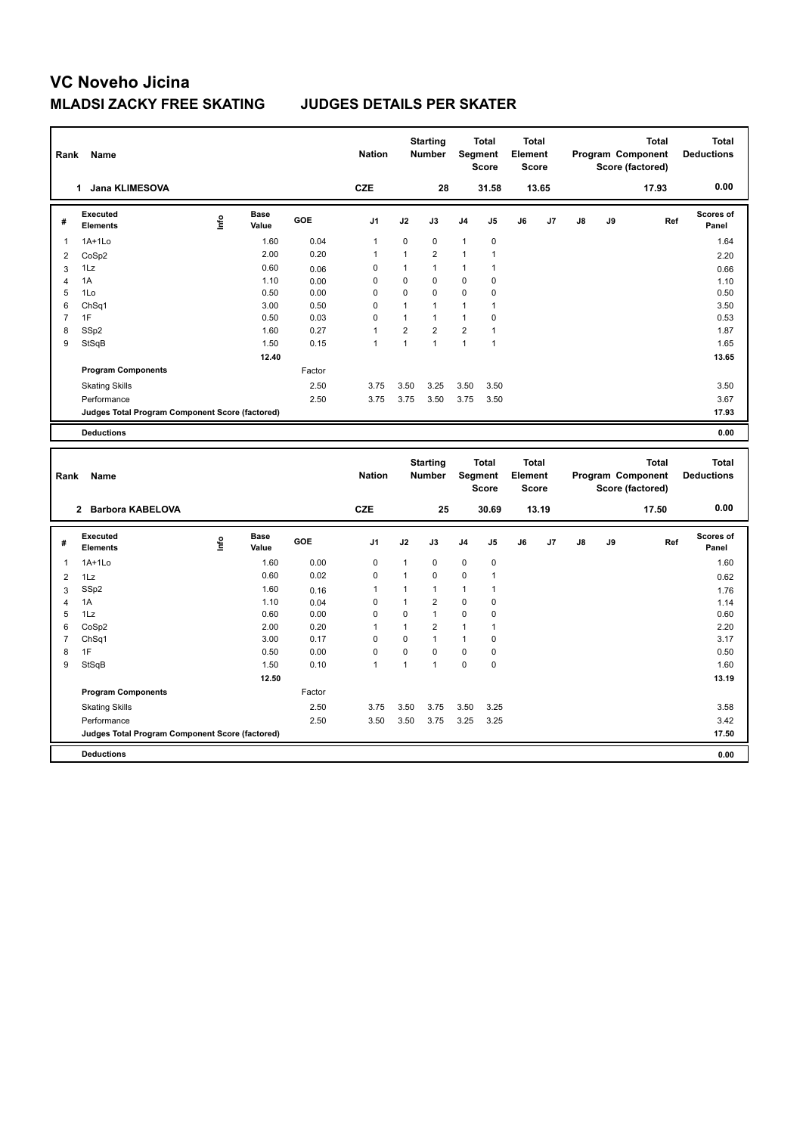| Rank           | <b>Name</b>                                     |      |                      |        | <b>Nation</b> |                | <b>Starting</b><br><b>Number</b> |                | <b>Total</b><br>Segment<br><b>Score</b> | <b>Total</b><br>Element<br><b>Score</b> |       |    |    | <b>Total</b><br>Program Component<br>Score (factored) | <b>Total</b><br><b>Deductions</b> |
|----------------|-------------------------------------------------|------|----------------------|--------|---------------|----------------|----------------------------------|----------------|-----------------------------------------|-----------------------------------------|-------|----|----|-------------------------------------------------------|-----------------------------------|
|                | 1 Jana KLIMESOVA                                |      |                      |        | <b>CZE</b>    |                | 28                               |                | 31.58                                   |                                         | 13.65 |    |    | 17.93                                                 | 0.00                              |
| #              | Executed<br><b>Elements</b>                     | Lnfo | <b>Base</b><br>Value | GOE    | J1            | J2             | J3                               | J4             | J5                                      | J6                                      | J7    | J8 | J9 | Ref                                                   | Scores of<br>Panel                |
| $\overline{1}$ | 1A+1Lo                                          |      | 1.60                 | 0.04   | $\mathbf{1}$  | 0              | $\pmb{0}$                        | $\mathbf{1}$   | 0                                       |                                         |       |    |    |                                                       | 1.64                              |
| $\overline{2}$ | CoSp2                                           |      | 2.00                 | 0.20   | $\mathbf{1}$  | $\mathbf{1}$   | $\overline{2}$                   | $\mathbf{1}$   | $\mathbf{1}$                            |                                         |       |    |    |                                                       | 2.20                              |
| 3              | 1Lz                                             |      | 0.60                 | 0.06   | $\mathbf 0$   | 1              | $\overline{1}$                   | 1              | 1                                       |                                         |       |    |    |                                                       | 0.66                              |
| $\overline{4}$ | 1A                                              |      | 1.10                 | 0.00   | $\mathbf 0$   | $\mathbf 0$    | $\mathbf 0$                      | $\mathbf 0$    | 0                                       |                                         |       |    |    |                                                       | 1.10                              |
| 5              | 1Lo                                             |      | 0.50                 | 0.00   | $\mathbf 0$   | $\mathbf 0$    | $\mathbf 0$                      | $\mathbf 0$    | 0                                       |                                         |       |    |    |                                                       | 0.50                              |
| 6              | Ch <sub>Sq1</sub>                               |      | 3.00                 | 0.50   | 0             | $\mathbf{1}$   | $\overline{1}$                   | 1              | 1                                       |                                         |       |    |    |                                                       | 3.50                              |
| $\overline{7}$ | 1F                                              |      | 0.50                 | 0.03   | $\Omega$      | $\mathbf{1}$   | $\overline{1}$                   | $\mathbf{1}$   | 0                                       |                                         |       |    |    |                                                       | 0.53                              |
| 8              | SSp2                                            |      | 1.60                 | 0.27   | 1             | $\overline{2}$ | $\overline{2}$                   | $\overline{2}$ | $\mathbf{1}$                            |                                         |       |    |    |                                                       | 1.87                              |
| 9              | StSqB                                           |      | 1.50                 | 0.15   | $\mathbf{1}$  | $\mathbf{1}$   | $\mathbf{1}$                     | $\mathbf{1}$   | $\mathbf{1}$                            |                                         |       |    |    |                                                       | 1.65                              |
|                |                                                 |      | 12.40                |        |               |                |                                  |                |                                         |                                         |       |    |    |                                                       | 13.65                             |
|                | <b>Program Components</b>                       |      |                      | Factor |               |                |                                  |                |                                         |                                         |       |    |    |                                                       |                                   |
|                | <b>Skating Skills</b>                           |      |                      | 2.50   | 3.75          | 3.50           | 3.25                             | 3.50           | 3.50                                    |                                         |       |    |    |                                                       | 3.50                              |
|                | Performance                                     |      |                      | 2.50   | 3.75          | 3.75           | 3.50                             | 3.75           | 3.50                                    |                                         |       |    |    |                                                       | 3.67                              |
|                | Judges Total Program Component Score (factored) |      |                      |        |               |                |                                  |                |                                         |                                         |       |    |    |                                                       | 17.93                             |
|                | <b>Deductions</b>                               |      |                      |        |               |                |                                  |                |                                         |                                         |       |    |    |                                                       | 0.00                              |
| Rank           | Name                                            |      |                      |        | <b>Nation</b> |                | <b>Starting</b><br>Number        |                | <b>Total</b><br>Segment                 | <b>Total</b><br>Element                 |       |    |    | <b>Total</b>                                          | <b>Total</b>                      |
|                |                                                 |      |                      |        |               |                |                                  |                | <b>Score</b>                            | <b>Score</b>                            |       |    |    | Program Component<br>Score (factored)                 | <b>Deductions</b>                 |
|                | 2 Barbora KABELOVA                              |      |                      |        | <b>CZE</b>    |                | 25                               |                | 30.69                                   |                                         | 13.19 |    |    | 17.50                                                 | 0.00                              |
| #              | <b>Executed</b><br><b>Elements</b>              | Life | Base<br>Value        | GOE    | J1            | J2             | J3                               | J4             | J5                                      | J6                                      | J7    | J8 | J9 | Ref                                                   | <b>Scores of</b><br>Panel         |
| 1              | $1A+1Lo$                                        |      | 1.60                 | 0.00   | $\mathbf 0$   | 1              | 0                                | $\pmb{0}$      | 0                                       |                                         |       |    |    |                                                       | 1.60                              |
| $\overline{2}$ | 1Lz                                             |      | 0.60                 | 0.02   | $\mathbf 0$   | $\mathbf{1}$   | 0                                | 0              | $\mathbf{1}$                            |                                         |       |    |    |                                                       | 0.62                              |
| 3              | SSp2                                            |      | 1.60                 | 0.16   | 1             | 1              | $\overline{1}$                   | $\mathbf{1}$   | $\mathbf{1}$                            |                                         |       |    |    |                                                       | 1.76                              |
| $\overline{4}$ | 1A                                              |      | 1.10                 | 0.04   | $\mathbf 0$   | 1              | $\overline{2}$                   | 0              | 0                                       |                                         |       |    |    |                                                       | 1.14                              |
| 5              | 1Lz                                             |      | 0.60                 | 0.00   | $\mathbf 0$   | $\mathbf 0$    | $\overline{1}$                   | 0              | 0                                       |                                         |       |    |    |                                                       | 0.60                              |
| 6              | CoSp2                                           |      | 2.00                 | 0.20   | 1             | $\mathbf{1}$   | $\overline{2}$                   | $\mathbf{1}$   | 1                                       |                                         |       |    |    |                                                       | 2.20                              |
| $\overline{7}$ | ChSq1                                           |      | 3.00                 | 0.17   | $\Omega$      | $\mathbf 0$    | $\overline{1}$                   | $\mathbf{1}$   | 0                                       |                                         |       |    |    |                                                       | 3.17                              |
| 8              | 1F                                              |      | 0.50                 | 0.00   | $\Omega$      | $\mathbf 0$    | $\mathbf 0$                      | $\pmb{0}$      | 0                                       |                                         |       |    |    |                                                       | 0.50                              |
| 9              | StSqB                                           |      | 1.50                 | 0.10   | 1             | 1              | $\overline{1}$                   | $\Omega$       | 0                                       |                                         |       |    |    |                                                       | 1.60                              |
|                |                                                 |      | 12.50                |        |               |                |                                  |                |                                         |                                         |       |    |    |                                                       | 13.19                             |
|                | <b>Program Components</b>                       |      |                      | Factor |               |                |                                  |                |                                         |                                         |       |    |    |                                                       |                                   |
|                | <b>Skating Skills</b>                           |      |                      | 2.50   | 3.75          | 3.50           | 3.75                             | 3.50           | 3.25                                    |                                         |       |    |    |                                                       | 3.58                              |
|                | Performance                                     |      |                      | 2.50   | 3.50          | 3.50           | 3.75                             | 3.25           | 3.25                                    |                                         |       |    |    |                                                       | 3.42                              |
|                | Judges Total Program Component Score (factored) |      |                      |        |               |                |                                  |                |                                         |                                         |       |    |    |                                                       | 17.50                             |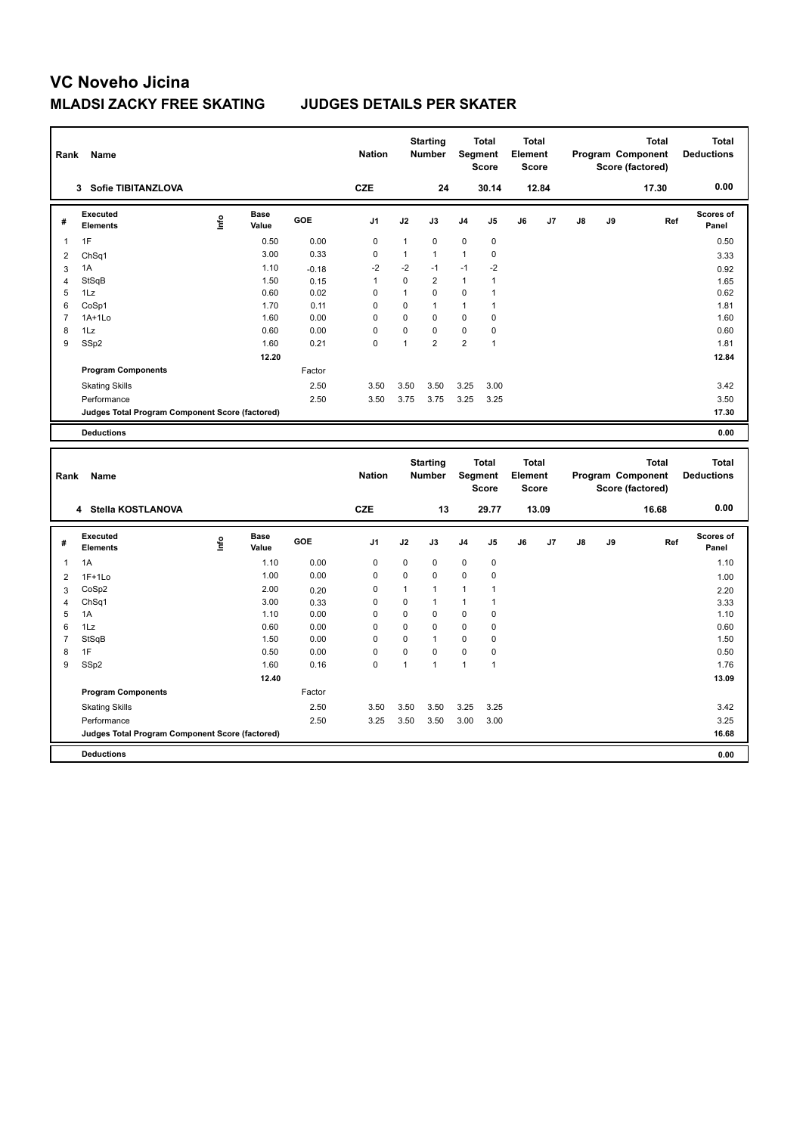| Rank           | Name                                            |      |                      |         | <b>Nation</b>  |              | <b>Starting</b><br>Number |                | <b>Total</b><br>Segment<br><b>Score</b> | <b>Total</b><br>Element<br><b>Score</b> |       |               |    | <b>Total</b><br>Program Component<br>Score (factored) | <b>Total</b><br><b>Deductions</b> |
|----------------|-------------------------------------------------|------|----------------------|---------|----------------|--------------|---------------------------|----------------|-----------------------------------------|-----------------------------------------|-------|---------------|----|-------------------------------------------------------|-----------------------------------|
|                | 3 Sofie TIBITANZLOVA                            |      |                      |         | <b>CZE</b>     |              | 24                        |                | 30.14                                   |                                         | 12.84 |               |    | 17.30                                                 | 0.00                              |
| #              | <b>Executed</b><br><b>Elements</b>              | Lnfo | <b>Base</b><br>Value | GOE     | J1             | J2           | J3                        | J4             | J5                                      | J6                                      | J7    | J8            | J9 | Ref                                                   | Scores of<br>Panel                |
| 1              | 1F                                              |      | 0.50                 | 0.00    | 0              | $\mathbf{1}$ | $\mathbf 0$               | $\mathbf 0$    | $\pmb{0}$                               |                                         |       |               |    |                                                       | 0.50                              |
| $\overline{2}$ | Ch <sub>Sq1</sub>                               |      | 3.00                 | 0.33    | $\mathbf 0$    | $\mathbf{1}$ | $\mathbf{1}$              | $\mathbf{1}$   | $\pmb{0}$                               |                                         |       |               |    |                                                       | 3.33                              |
| 3              | 1A                                              |      | 1.10                 | $-0.18$ | $-2$           | $-2$         | $-1$                      | $-1$           | $-2$                                    |                                         |       |               |    |                                                       | 0.92                              |
| $\overline{4}$ | StSqB                                           |      | 1.50                 | 0.15    | $\mathbf{1}$   | 0            | $\overline{2}$            | $\mathbf{1}$   | $\mathbf{1}$                            |                                         |       |               |    |                                                       | 1.65                              |
| 5              | 1Lz                                             |      | 0.60                 | 0.02    | $\mathbf 0$    | $\mathbf{1}$ | $\mathbf 0$               | $\mathbf 0$    | $\mathbf{1}$                            |                                         |       |               |    |                                                       | 0.62                              |
| 6              | CoSp1                                           |      | 1.70                 | 0.11    | $\mathbf 0$    | 0            | $\overline{1}$            | $\mathbf{1}$   | 1                                       |                                         |       |               |    |                                                       | 1.81                              |
| $\overline{7}$ | 1A+1Lo                                          |      | 1.60                 | 0.00    | $\mathbf 0$    | 0            | $\Omega$                  | $\mathbf 0$    | 0                                       |                                         |       |               |    |                                                       | 1.60                              |
| 8              | 1Lz                                             |      | 0.60                 | 0.00    | $\mathbf 0$    | 0            | $\mathbf 0$               | $\mathbf 0$    | 0                                       |                                         |       |               |    |                                                       | 0.60                              |
| 9              | SSp2                                            |      | 1.60                 | 0.21    | $\mathbf 0$    | $\mathbf{1}$ | $\overline{2}$            | $\overline{2}$ | $\mathbf{1}$                            |                                         |       |               |    |                                                       | 1.81                              |
|                |                                                 |      | 12.20                |         |                |              |                           |                |                                         |                                         |       |               |    |                                                       | 12.84                             |
|                | <b>Program Components</b>                       |      |                      | Factor  |                |              |                           |                |                                         |                                         |       |               |    |                                                       |                                   |
|                | <b>Skating Skills</b>                           |      |                      | 2.50    | 3.50           | 3.50         | 3.50                      | 3.25           | 3.00                                    |                                         |       |               |    |                                                       | 3.42                              |
|                | Performance                                     |      |                      | 2.50    | 3.50           | 3.75         | 3.75                      | 3.25           | 3.25                                    |                                         |       |               |    |                                                       | 3.50                              |
|                | Judges Total Program Component Score (factored) |      |                      |         |                |              |                           |                |                                         |                                         |       |               |    |                                                       | 17.30                             |
|                | <b>Deductions</b>                               |      |                      |         |                |              |                           |                |                                         |                                         |       |               |    |                                                       | 0.00                              |
| Rank           | Name                                            |      |                      |         | <b>Nation</b>  |              | <b>Starting</b><br>Number |                | <b>Total</b><br>Segment<br><b>Score</b> | <b>Total</b><br>Element<br><b>Score</b> |       |               |    | <b>Total</b><br>Program Component<br>Score (factored) | <b>Total</b><br><b>Deductions</b> |
|                | 4 Stella KOSTLANOVA                             |      |                      |         | <b>CZE</b>     |              | 13                        |                | 29.77                                   |                                         | 13.09 |               |    | 16.68                                                 | 0.00                              |
| #              | <b>Executed</b><br>Elements                     | Life | Base<br>Value        | GOE     | J <sub>1</sub> | J2           | J3                        | J4             | J5                                      | J6                                      | J7    | $\mathsf{J}8$ | J9 | Ref                                                   | <b>Scores of</b><br>Panel         |
| $\mathbf{1}$   | 1A                                              |      | 1.10                 | 0.00    | $\mathbf 0$    | 0            | $\mathbf 0$               | $\mathbf 0$    | $\pmb{0}$                               |                                         |       |               |    |                                                       | 1.10                              |
| $\overline{2}$ | $1F+1Lo$                                        |      | 1.00                 | 0.00    | 0              | 0            | $\mathbf 0$               | $\mathbf 0$    | 0                                       |                                         |       |               |    |                                                       | 1.00                              |
| 3              | CoSp2                                           |      | 2.00                 | 0.20    | $\mathbf 0$    | $\mathbf{1}$ | 1                         | 1              | $\mathbf{1}$                            |                                         |       |               |    |                                                       | 2.20                              |
| $\overline{4}$ | Ch <sub>Sq1</sub>                               |      | 3.00                 | 0.33    | 0              | 0            | 1                         | $\mathbf{1}$   | 1                                       |                                         |       |               |    |                                                       | 3.33                              |
| 5              |                                                 |      |                      |         |                |              | $\mathbf 0$               | $\mathbf 0$    | 0                                       |                                         |       |               |    |                                                       | 1.10                              |
| 6              | 1A                                              |      | 1.10                 | 0.00    | $\mathbf 0$    | 0            |                           |                |                                         |                                         |       |               |    |                                                       |                                   |
| 7              | 1Lz                                             |      | 0.60                 | 0.00    | 0              | 0            | $\Omega$                  | 0              | 0                                       |                                         |       |               |    |                                                       | 0.60                              |
|                | StSqB                                           |      | 1.50                 | 0.00    | $\mathbf 0$    | 0            | 1                         | $\mathbf 0$    | 0                                       |                                         |       |               |    |                                                       | 1.50                              |
| 8              | 1F                                              |      | 0.50                 | 0.00    | $\mathbf 0$    | 0            | $\mathbf 0$               | $\mathbf 0$    | 0                                       |                                         |       |               |    |                                                       | 0.50                              |
| 9              | SSp2                                            |      | 1.60                 | 0.16    | $\Omega$       | $\mathbf{1}$ | $\mathbf{1}$              | $\mathbf{1}$   | $\mathbf{1}$                            |                                         |       |               |    |                                                       | 1.76                              |
|                |                                                 |      | 12.40                |         |                |              |                           |                |                                         |                                         |       |               |    |                                                       | 13.09                             |
|                | <b>Program Components</b>                       |      |                      | Factor  |                |              |                           |                |                                         |                                         |       |               |    |                                                       |                                   |
|                | <b>Skating Skills</b>                           |      |                      | 2.50    | 3.50           | 3.50         | 3.50                      | 3.25           | 3.25                                    |                                         |       |               |    |                                                       | 3.42                              |
|                | Performance                                     |      |                      | 2.50    | 3.25           | 3.50         | 3.50                      | 3.00           | 3.00                                    |                                         |       |               |    |                                                       | 3.25                              |
|                | Judges Total Program Component Score (factored) |      |                      |         |                |              |                           |                |                                         |                                         |       |               |    |                                                       | 16.68                             |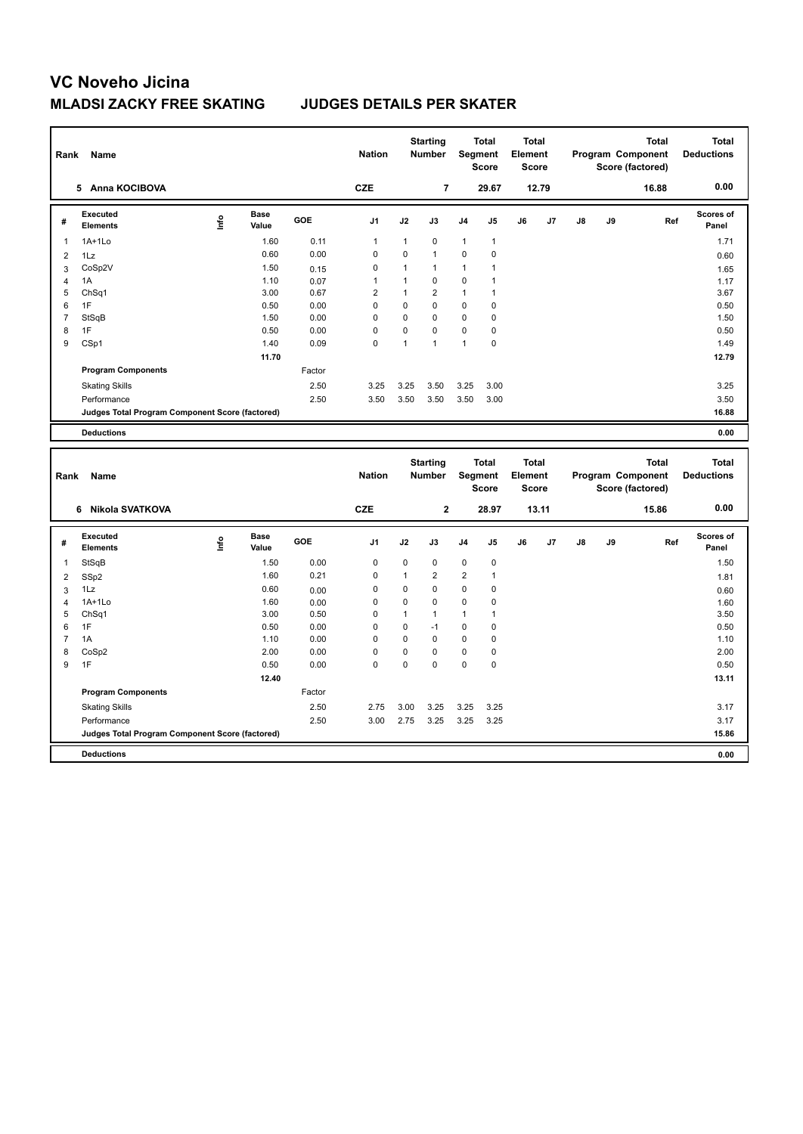| Rank           | <b>Name</b>                                     |      |                      |        | <b>Nation</b>  |              | <b>Starting</b><br><b>Number</b> |                | <b>Total</b><br>Segment<br><b>Score</b> | <b>Total</b><br>Element<br><b>Score</b> |       |    |    | <b>Total</b><br>Program Component<br>Score (factored) | <b>Total</b><br><b>Deductions</b> |
|----------------|-------------------------------------------------|------|----------------------|--------|----------------|--------------|----------------------------------|----------------|-----------------------------------------|-----------------------------------------|-------|----|----|-------------------------------------------------------|-----------------------------------|
|                | 5 Anna KOCIBOVA                                 |      |                      |        | <b>CZE</b>     |              | 7                                |                | 29.67                                   |                                         | 12.79 |    |    | 16.88                                                 | 0.00                              |
| #              | Executed<br><b>Elements</b>                     | Lnfo | <b>Base</b><br>Value | GOE    | J1             | J2           | J3                               | J4             | J5                                      | J6                                      | J7    | J8 | J9 | Ref                                                   | Scores of<br>Panel                |
| $\overline{1}$ | 1A+1Lo                                          |      | 1.60                 | 0.11   | $\mathbf{1}$   | 1            | $\pmb{0}$                        | $\mathbf{1}$   | $\mathbf{1}$                            |                                         |       |    |    |                                                       | 1.71                              |
| $\overline{2}$ | 1Lz                                             |      | 0.60                 | 0.00   | $\mathbf 0$    | $\mathbf 0$  | $\overline{1}$                   | $\mathbf 0$    | 0                                       |                                         |       |    |    |                                                       | 0.60                              |
| 3              | CoSp2V                                          |      | 1.50                 | 0.15   | 0              | 1            | $\overline{1}$                   | 1              | 1                                       |                                         |       |    |    |                                                       | 1.65                              |
| $\overline{4}$ | 1A                                              |      | 1.10                 | 0.07   | 1              | 1            | $\mathbf 0$                      | $\pmb{0}$      | $\mathbf{1}$                            |                                         |       |    |    |                                                       | 1.17                              |
| 5              | Ch <sub>Sq1</sub>                               |      | 3.00                 | 0.67   | $\overline{2}$ | $\mathbf{1}$ | $\overline{2}$                   | $\mathbf{1}$   | 1                                       |                                         |       |    |    |                                                       | 3.67                              |
| 6              | 1F                                              |      | 0.50                 | 0.00   | $\mathbf 0$    | $\mathbf 0$  | $\mathbf 0$                      | $\mathbf 0$    | 0                                       |                                         |       |    |    |                                                       | 0.50                              |
| $\overline{7}$ | StSqB                                           |      | 1.50                 | 0.00   | $\Omega$       | $\mathbf 0$  | $\mathbf 0$                      | $\mathbf 0$    | 0                                       |                                         |       |    |    |                                                       | 1.50                              |
| 8              | 1F                                              |      | 0.50                 | 0.00   | 0              | $\mathbf 0$  | $\mathbf 0$                      | 0              | 0                                       |                                         |       |    |    |                                                       | 0.50                              |
| 9              | CSp1                                            |      | 1.40                 | 0.09   | $\mathbf 0$    | 1            | $\overline{1}$                   | $\mathbf{1}$   | 0                                       |                                         |       |    |    |                                                       | 1.49                              |
|                |                                                 |      | 11.70                |        |                |              |                                  |                |                                         |                                         |       |    |    |                                                       | 12.79                             |
|                | <b>Program Components</b>                       |      |                      | Factor |                |              |                                  |                |                                         |                                         |       |    |    |                                                       |                                   |
|                | <b>Skating Skills</b>                           |      |                      | 2.50   | 3.25           | 3.25         | 3.50                             | 3.25           | 3.00                                    |                                         |       |    |    |                                                       | 3.25                              |
|                | Performance                                     |      |                      | 2.50   | 3.50           | 3.50         | 3.50                             | 3.50           | 3.00                                    |                                         |       |    |    |                                                       | 3.50                              |
|                | Judges Total Program Component Score (factored) |      |                      |        |                |              |                                  |                |                                         |                                         |       |    |    |                                                       | 16.88                             |
|                | <b>Deductions</b>                               |      |                      |        |                |              |                                  |                |                                         |                                         |       |    |    |                                                       | 0.00                              |
| Rank           | Name                                            |      |                      |        | <b>Nation</b>  |              | <b>Starting</b><br>Number        |                | <b>Total</b><br>Segment<br><b>Score</b> | <b>Total</b><br>Element<br><b>Score</b> |       |    |    | <b>Total</b><br>Program Component<br>Score (factored) | <b>Total</b><br><b>Deductions</b> |
|                | Nikola SVATKOVA<br>6                            |      |                      |        | <b>CZE</b>     |              | $\mathbf{2}$                     |                | 28.97                                   |                                         | 13.11 |    |    | 15.86                                                 | 0.00                              |
| #              | Executed<br><b>Elements</b>                     | Life | Base<br>Value        | GOE    | J1             | J2           | J3                               | J4             | J5                                      | J6                                      | J7    | J8 | J9 | Ref                                                   | <b>Scores of</b><br>Panel         |
| 1              | StSqB                                           |      | 1.50                 | 0.00   | $\mathbf 0$    | $\mathbf 0$  | $\mathbf 0$                      | $\pmb{0}$      | 0                                       |                                         |       |    |    |                                                       | 1.50                              |
| $\overline{2}$ | SSp2                                            |      | 1.60                 | 0.21   | $\mathbf 0$    | $\mathbf{1}$ | $\overline{2}$                   | $\overline{2}$ | $\mathbf{1}$                            |                                         |       |    |    |                                                       | 1.81                              |
| 3              |                                                 |      | 0.60                 |        |                | $\mathbf 0$  | $\mathbf 0$                      | $\mathbf 0$    | 0                                       |                                         |       |    |    |                                                       | 0.60                              |
| $\overline{4}$ | 1Lz                                             |      |                      | 0.00   | 0              |              |                                  |                |                                         |                                         |       |    |    |                                                       |                                   |
|                | $1A+1Lo$                                        |      | 1.60                 | 0.00   | $\mathbf 0$    | $\mathbf 0$  | 0                                | 0              | 0                                       |                                         |       |    |    |                                                       | 1.60                              |
| 5              | ChSq1                                           |      | 3.00                 | 0.50   | $\mathbf 0$    | $\mathbf{1}$ | $\overline{1}$                   | $\mathbf{1}$   | $\mathbf{1}$                            |                                         |       |    |    |                                                       | 3.50                              |
| 6              | 1F                                              |      | 0.50                 | 0.00   | 0              | $\mathbf 0$  | $-1$                             | $\mathbf 0$    | 0                                       |                                         |       |    |    |                                                       | 0.50                              |
| 7              | 1A                                              |      | 1.10                 | 0.00   | 0              | $\mathbf 0$  | $\mathbf 0$                      | $\mathbf 0$    | 0                                       |                                         |       |    |    |                                                       | 1.10                              |
| 8              | CoSp2                                           |      | 2.00                 | 0.00   | $\mathbf 0$    | $\mathbf 0$  | $\mathbf 0$                      | 0              | 0                                       |                                         |       |    |    |                                                       | 2.00                              |
| 9              | 1F                                              |      | 0.50                 | 0.00   | $\Omega$       | $\Omega$     | $\Omega$                         | $\Omega$       | 0                                       |                                         |       |    |    |                                                       | 0.50                              |
|                |                                                 |      | 12.40                |        |                |              |                                  |                |                                         |                                         |       |    |    |                                                       | 13.11                             |
|                | <b>Program Components</b>                       |      |                      | Factor |                |              |                                  |                |                                         |                                         |       |    |    |                                                       |                                   |
|                | <b>Skating Skills</b>                           |      |                      | 2.50   | 2.75           | 3.00         | 3.25                             | 3.25           | 3.25                                    |                                         |       |    |    |                                                       | 3.17                              |
|                | Performance                                     |      |                      | 2.50   | 3.00           | 2.75         | 3.25                             | 3.25           | 3.25                                    |                                         |       |    |    |                                                       | 3.17                              |
|                | Judges Total Program Component Score (factored) |      |                      |        |                |              |                                  |                |                                         |                                         |       |    |    |                                                       | 15.86                             |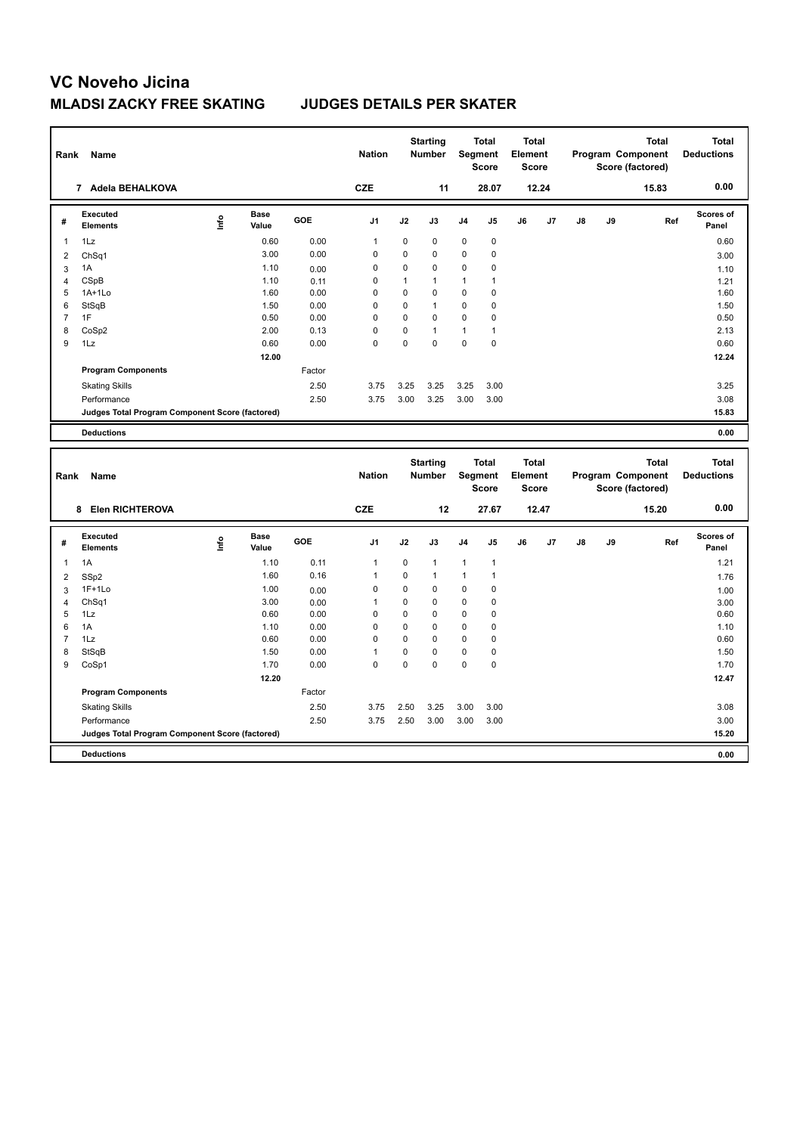| Rank           | Name                                            |      |                      |        | <b>Nation</b> |                | <b>Starting</b><br><b>Number</b> |              | <b>Total</b><br>Segment<br><b>Score</b> | <b>Total</b><br>Element<br><b>Score</b> |       |    |    | <b>Total</b><br>Program Component<br>Score (factored) | <b>Total</b><br><b>Deductions</b> |
|----------------|-------------------------------------------------|------|----------------------|--------|---------------|----------------|----------------------------------|--------------|-----------------------------------------|-----------------------------------------|-------|----|----|-------------------------------------------------------|-----------------------------------|
|                | 7 Adela BEHALKOVA                               |      |                      |        | <b>CZE</b>    |                | 11                               |              | 28.07                                   |                                         | 12.24 |    |    | 15.83                                                 | 0.00                              |
| #              | <b>Executed</b><br><b>Elements</b>              | ١nf٥ | <b>Base</b><br>Value | GOE    | J1            | J2             | J3                               | J4           | J5                                      | J6                                      | J7    | J8 | J9 | Ref                                                   | Scores of<br>Panel                |
| $\mathbf{1}$   | 1Lz                                             |      | 0.60                 | 0.00   | $\mathbf{1}$  | 0              | $\mathbf 0$                      | $\mathbf 0$  | $\pmb{0}$                               |                                         |       |    |    |                                                       | 0.60                              |
| $\overline{2}$ | Ch <sub>Sq1</sub>                               |      | 3.00                 | 0.00   | 0             | 0              | $\mathbf 0$                      | $\mathbf 0$  | 0                                       |                                         |       |    |    |                                                       | 3.00                              |
| 3              | 1A                                              |      | 1.10                 | 0.00   | $\mathbf 0$   | 0              | $\pmb{0}$                        | $\mathbf 0$  | 0                                       |                                         |       |    |    |                                                       | 1.10                              |
| $\overline{4}$ | CSpB                                            |      | 1.10                 | 0.11   | 0             | $\mathbf{1}$   | 1                                | $\mathbf{1}$ | $\mathbf{1}$                            |                                         |       |    |    |                                                       | 1.21                              |
| 5              | $1A+1Lo$                                        |      | 1.60                 | 0.00   | 0             | 0              | $\mathbf 0$                      | $\mathbf 0$  | 0                                       |                                         |       |    |    |                                                       | 1.60                              |
| 6              | StSqB                                           |      | 1.50                 | 0.00   | $\Omega$      | $\Omega$       | 1                                | $\mathbf 0$  | 0                                       |                                         |       |    |    |                                                       | 1.50                              |
| $\overline{7}$ | 1F                                              |      | 0.50                 | 0.00   | 0             | 0              | $\mathbf 0$                      | $\mathbf 0$  | 0                                       |                                         |       |    |    |                                                       | 0.50                              |
| 8              | CoSp2                                           |      | 2.00                 | 0.13   | $\mathbf 0$   | 0<br>0         | 1<br>$\theta$                    | 1            | $\mathbf{1}$<br>$\mathbf 0$             |                                         |       |    |    |                                                       | 2.13                              |
| 9              | 1Lz                                             |      | 0.60                 | 0.00   | $\Omega$      |                |                                  | $\mathbf 0$  |                                         |                                         |       |    |    |                                                       | 0.60                              |
|                |                                                 |      | 12.00                |        |               |                |                                  |              |                                         |                                         |       |    |    |                                                       | 12.24                             |
|                | <b>Program Components</b>                       |      |                      | Factor |               |                |                                  |              |                                         |                                         |       |    |    |                                                       |                                   |
|                | <b>Skating Skills</b>                           |      |                      | 2.50   | 3.75          | 3.25           | 3.25                             | 3.25         | 3.00                                    |                                         |       |    |    |                                                       | 3.25                              |
|                | Performance                                     |      |                      | 2.50   | 3.75          | 3.00           | 3.25                             | 3.00         | 3.00                                    |                                         |       |    |    |                                                       | 3.08                              |
|                | Judges Total Program Component Score (factored) |      |                      |        |               |                |                                  |              |                                         |                                         |       |    |    |                                                       | 15.83                             |
|                | <b>Deductions</b>                               |      |                      |        |               |                |                                  |              |                                         |                                         |       |    |    |                                                       | 0.00                              |
| Rank           | Name                                            |      |                      |        | <b>Nation</b> |                | <b>Starting</b><br>Number        |              | <b>Total</b><br>Segment<br><b>Score</b> | <b>Total</b><br>Element<br><b>Score</b> |       |    |    | <b>Total</b><br>Program Component<br>Score (factored) | <b>Total</b><br><b>Deductions</b> |
|                | 8 Elen RICHTEROVA                               |      |                      |        | <b>CZE</b>    |                | 12                               |              | 27.67                                   |                                         | 12.47 |    |    | 15.20                                                 | 0.00                              |
| #              | <b>Executed</b><br><b>Elements</b>              | ۴ů   | <b>Base</b><br>Value | GOE    | J1            | J2             | J3                               | J4           | J5                                      | J6                                      | J7    | J8 | J9 | Ref                                                   | <b>Scores of</b><br>Panel         |
| $\mathbf{1}$   | 1A                                              |      | 1.10                 | 0.11   | $\mathbf{1}$  | 0              | $\mathbf{1}$                     | $\mathbf{1}$ | 1                                       |                                         |       |    |    |                                                       | 1.21                              |
| $\overline{2}$ | SSp2                                            |      | 1.60                 | 0.16   | $\mathbf{1}$  | 0              | $\overline{1}$                   | $\mathbf{1}$ | $\mathbf{1}$                            |                                         |       |    |    |                                                       | 1.76                              |
| 3              | $1F+1Lo$                                        |      | 1.00                 | 0.00   | $\mathbf 0$   | 0              | $\mathbf 0$                      | $\mathbf 0$  | 0                                       |                                         |       |    |    |                                                       | 1.00                              |
| $\overline{4}$ | ChSq1                                           |      | 3.00                 | 0.00   | $\mathbf{1}$  | 0              | $\mathbf 0$                      | $\mathbf 0$  | 0                                       |                                         |       |    |    |                                                       | 3.00                              |
| 5              | 1Lz                                             |      | 0.60                 | 0.00   | 0             | 0              | $\mathbf 0$                      | $\mathbf 0$  | 0                                       |                                         |       |    |    |                                                       | 0.60                              |
| 6              | 1A                                              |      | 1.10                 | 0.00   | 0             | 0              | $\mathbf 0$                      | $\mathbf 0$  | 0                                       |                                         |       |    |    |                                                       | 1.10                              |
| $\overline{7}$ |                                                 |      |                      |        |               |                |                                  |              |                                         |                                         |       |    |    |                                                       |                                   |
| 8              | 1Lz                                             |      | 0.60                 | 0.00   | $\mathbf 0$   | $\overline{0}$ | $\Omega$                         | $\mathbf 0$  | $\pmb{0}$                               |                                         |       |    |    |                                                       | 0.60                              |
|                | StSqB                                           |      | 1.50                 | 0.00   | 1             | 0              | $\Omega$                         | $\mathbf 0$  | 0                                       |                                         |       |    |    |                                                       | 1.50                              |
| 9              | CoSp1                                           |      | 1.70                 | 0.00   | $\Omega$      | $\overline{0}$ | $\Omega$                         | $\mathbf 0$  | 0                                       |                                         |       |    |    |                                                       | 1.70                              |
|                |                                                 |      | 12.20                |        |               |                |                                  |              |                                         |                                         |       |    |    |                                                       | 12.47                             |
|                | <b>Program Components</b>                       |      |                      | Factor |               |                |                                  |              |                                         |                                         |       |    |    |                                                       |                                   |
|                | <b>Skating Skills</b>                           |      |                      | 2.50   | 3.75          | 2.50           | 3.25                             | 3.00         | 3.00                                    |                                         |       |    |    |                                                       | 3.08                              |
|                | Performance                                     |      |                      | 2.50   | 3.75          | 2.50           | 3.00                             | 3.00         | 3.00                                    |                                         |       |    |    |                                                       | 3.00                              |
|                | Judges Total Program Component Score (factored) |      |                      |        |               |                |                                  |              |                                         |                                         |       |    |    |                                                       | 15.20                             |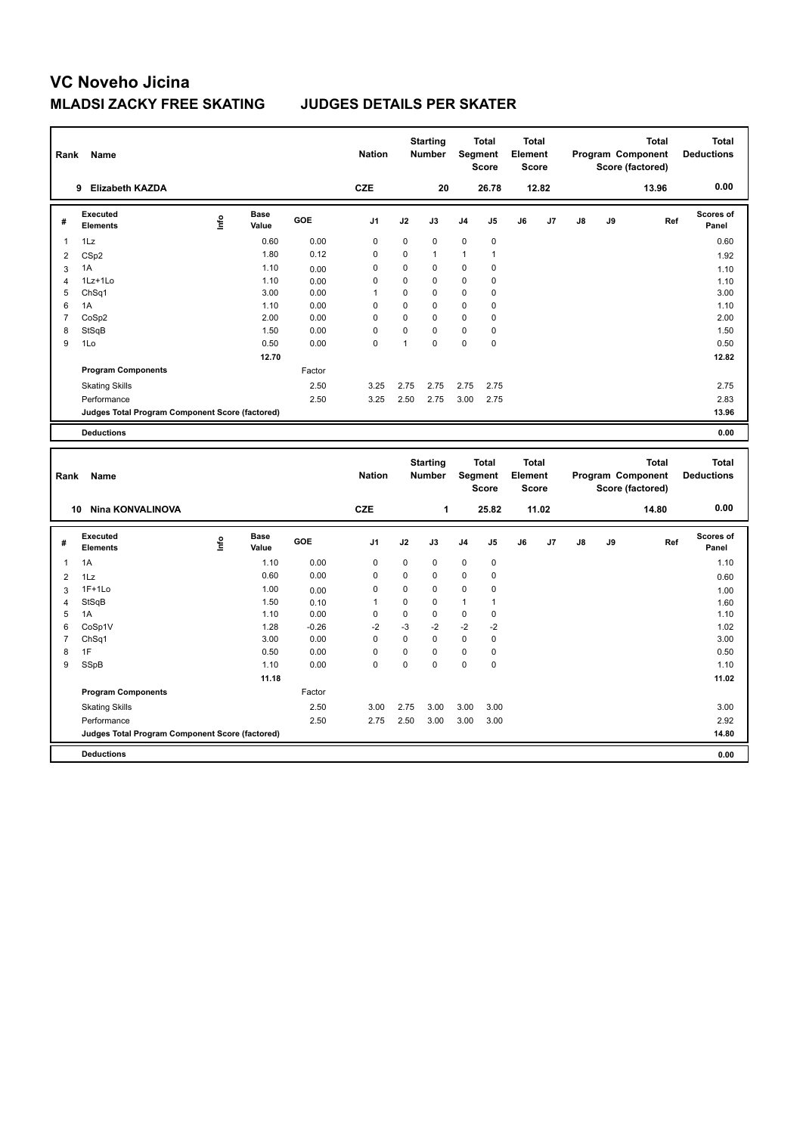| Rank                | Name                                            |      |                      |              | <b>Nation</b> |                   | <b>Starting</b><br><b>Number</b> |             | <b>Total</b><br>Segment<br><b>Score</b> | <b>Total</b><br>Element<br>Score        |       |    |    | Program Component<br>Score (factored) | <b>Total</b> | <b>Total</b><br><b>Deductions</b> |
|---------------------|-------------------------------------------------|------|----------------------|--------------|---------------|-------------------|----------------------------------|-------------|-----------------------------------------|-----------------------------------------|-------|----|----|---------------------------------------|--------------|-----------------------------------|
|                     | 9 Elizabeth KAZDA                               |      |                      |              | <b>CZE</b>    |                   | 20                               |             | 26.78                                   |                                         | 12.82 |    |    | 13.96                                 |              | 0.00                              |
| #                   | Executed<br><b>Elements</b>                     | ١nf٥ | <b>Base</b><br>Value | GOE          | J1            | J2                | J3                               | J4          | J <sub>5</sub>                          | J6                                      | J7    | J8 | J9 |                                       | Ref          | Scores of<br>Panel                |
| 1                   | 1Lz                                             |      | 0.60                 | 0.00         | $\mathbf 0$   | 0                 | 0                                | $\pmb{0}$   | $\pmb{0}$                               |                                         |       |    |    |                                       |              | 0.60                              |
| 2                   | CS <sub>p2</sub>                                |      | 1.80                 | 0.12         | $\mathbf 0$   | 0                 | $\mathbf{1}$                     | 1           | $\mathbf{1}$                            |                                         |       |    |    |                                       |              | 1.92                              |
| 3                   | 1A                                              |      | 1.10                 | 0.00         | $\mathbf 0$   | 0                 | $\mathbf 0$                      | $\mathbf 0$ | $\mathbf 0$                             |                                         |       |    |    |                                       |              | 1.10                              |
| 4                   | 1Lz+1Lo                                         |      | 1.10                 | 0.00         | $\mathbf 0$   | 0                 | $\mathbf 0$                      | $\mathbf 0$ | $\mathbf 0$                             |                                         |       |    |    |                                       |              | 1.10                              |
| 5                   | Ch <sub>Sq1</sub>                               |      | 3.00                 | 0.00         | 1             | 0                 | $\mathbf 0$                      | 0           | 0                                       |                                         |       |    |    |                                       |              | 3.00                              |
| 6                   | 1A                                              |      | 1.10                 | 0.00         | $\mathbf 0$   | 0                 | $\mathbf 0$                      | 0           | 0                                       |                                         |       |    |    |                                       |              | 1.10                              |
| 7                   | CoSp2                                           |      | 2.00                 | 0.00         | 0             | 0                 | $\Omega$                         | 0           | $\mathbf 0$                             |                                         |       |    |    |                                       |              | 2.00                              |
| 8                   | StSqB                                           |      | 1.50                 | 0.00         | $\mathbf 0$   | 0<br>$\mathbf{1}$ | $\mathbf 0$<br>$\Omega$          | 0           | 0                                       |                                         |       |    |    |                                       |              | 1.50                              |
| 9                   | 1Lo                                             |      | 0.50                 | 0.00         | $\Omega$      |                   |                                  | $\mathbf 0$ | $\mathbf 0$                             |                                         |       |    |    |                                       |              | 0.50                              |
|                     |                                                 |      | 12.70                |              |               |                   |                                  |             |                                         |                                         |       |    |    |                                       |              | 12.82                             |
|                     | <b>Program Components</b>                       |      |                      | Factor       |               |                   |                                  |             |                                         |                                         |       |    |    |                                       |              |                                   |
|                     | <b>Skating Skills</b>                           |      |                      | 2.50         | 3.25          | 2.75              | 2.75                             | 2.75        | 2.75                                    |                                         |       |    |    |                                       |              | 2.75                              |
|                     | Performance                                     |      |                      | 2.50         | 3.25          | 2.50              | 2.75                             | 3.00        | 2.75                                    |                                         |       |    |    |                                       |              | 2.83                              |
|                     | Judges Total Program Component Score (factored) |      |                      |              |               |                   |                                  |             |                                         |                                         |       |    |    |                                       |              | 13.96                             |
|                     | <b>Deductions</b>                               |      |                      |              |               |                   |                                  |             |                                         |                                         |       |    |    |                                       |              | 0.00                              |
|                     |                                                 |      |                      |              |               |                   |                                  |             |                                         |                                         |       |    |    |                                       |              |                                   |
| Rank                | Name                                            |      |                      |              | <b>Nation</b> |                   | <b>Starting</b><br><b>Number</b> |             | <b>Total</b><br>Segment<br><b>Score</b> | <b>Total</b><br>Element<br><b>Score</b> |       |    |    | Program Component<br>Score (factored) | <b>Total</b> | <b>Total</b><br><b>Deductions</b> |
|                     | <b>Nina KONVALINOVA</b><br>10                   |      |                      |              | <b>CZE</b>    |                   | $\mathbf{1}$                     |             | 25.82                                   |                                         | 11.02 |    |    | 14.80                                 |              | 0.00                              |
| $\#$                | Executed<br>Elements                            | lnfo | <b>Base</b><br>Value | GOE          | J1            | J2                | J3                               | J4          | J <sub>5</sub>                          | J6                                      | J7    | J8 | J9 |                                       | Ref          | <b>Scores of</b><br>Panel         |
| 1                   |                                                 |      |                      | 0.00         | $\mathbf 0$   | 0                 | 0                                | 0           | 0                                       |                                         |       |    |    |                                       |              |                                   |
|                     | 1A                                              |      | 1.10<br>0.60         | 0.00         | $\mathbf 0$   | 0                 | $\mathbf 0$                      | $\mathbf 0$ | $\pmb{0}$                               |                                         |       |    |    |                                       |              | 1.10                              |
| $\overline{2}$      | 1Lz<br>$1F+1Lo$                                 |      | 1.00                 |              | 0             | 0                 | 0                                | 0           | 0                                       |                                         |       |    |    |                                       |              | 0.60                              |
| 3<br>$\overline{4}$ |                                                 |      | 1.50                 | 0.00         | $\mathbf{1}$  | 0                 | $\mathbf 0$                      | 1           | $\mathbf{1}$                            |                                         |       |    |    |                                       |              | 1.00                              |
| 5                   | StSqB<br>1A                                     |      | 1.10                 | 0.10<br>0.00 | $\mathbf 0$   | 0                 | $\mathbf 0$                      | $\mathbf 0$ | $\mathbf 0$                             |                                         |       |    |    |                                       |              | 1.60<br>1.10                      |
| 6                   | CoSp1V                                          |      | 1.28                 | $-0.26$      | -2            | -3                | $-2$                             | $-2$        | $-2$                                    |                                         |       |    |    |                                       |              | 1.02                              |
| $\overline{7}$      | ChSq1                                           |      | 3.00                 | 0.00         | $\mathbf 0$   | 0                 | $\mathbf 0$                      | 0           | $\pmb{0}$                               |                                         |       |    |    |                                       |              | 3.00                              |
| 8                   | 1F                                              |      | 0.50                 | 0.00         | $\mathbf 0$   | 0                 | $\mathbf 0$                      | $\pmb{0}$   | $\pmb{0}$                               |                                         |       |    |    |                                       |              | 0.50                              |
| 9                   | SSpB                                            |      | 1.10                 | 0.00         | $\mathbf 0$   | 0                 | $\mathbf 0$                      | 0           | 0                                       |                                         |       |    |    |                                       |              | 1.10                              |
|                     |                                                 |      | 11.18                |              |               |                   |                                  |             |                                         |                                         |       |    |    |                                       |              | 11.02                             |
|                     | <b>Program Components</b>                       |      |                      | Factor       |               |                   |                                  |             |                                         |                                         |       |    |    |                                       |              |                                   |
|                     | <b>Skating Skills</b>                           |      |                      | 2.50         | 3.00          | 2.75              | 3.00                             | 3.00        | 3.00                                    |                                         |       |    |    |                                       |              | 3.00                              |
|                     | Performance                                     |      |                      | 2.50         | 2.75          | 2.50              | 3.00                             | 3.00        | 3.00                                    |                                         |       |    |    |                                       |              | 2.92                              |
|                     | Judges Total Program Component Score (factored) |      |                      |              |               |                   |                                  |             |                                         |                                         |       |    |    |                                       |              | 14.80                             |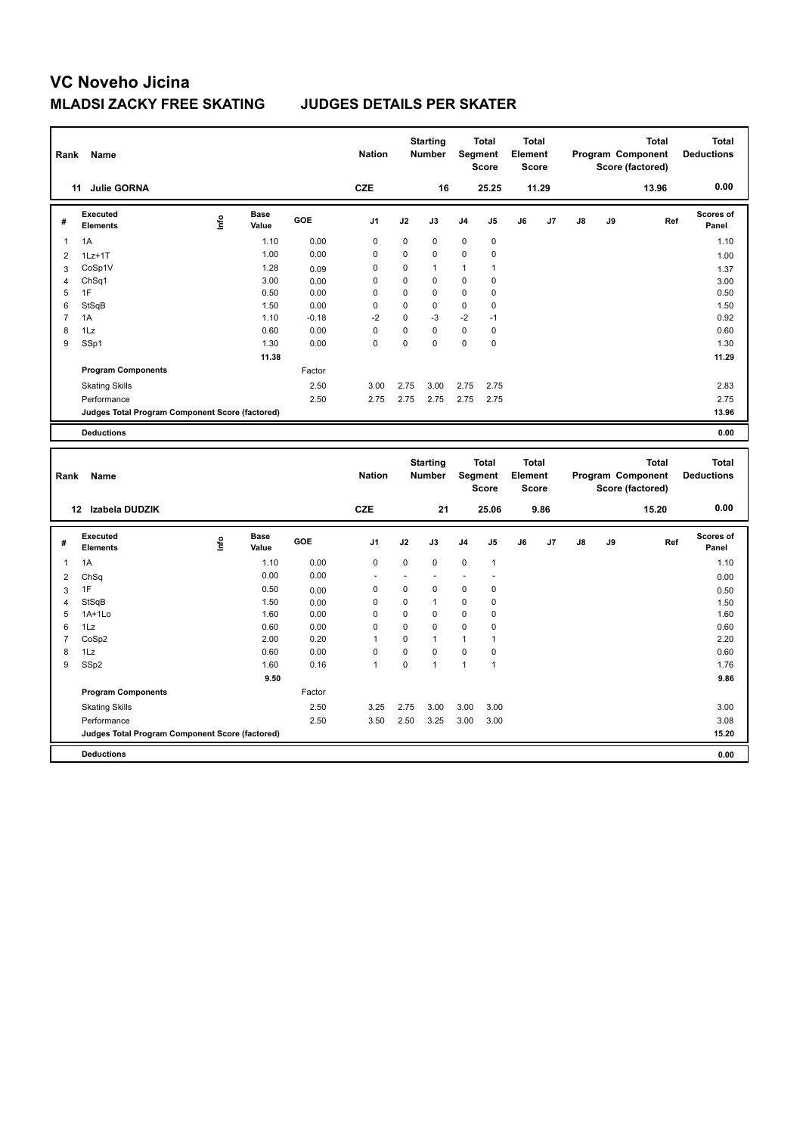| Rank                | Name                                            |      |                      |         | <b>Nation</b>           |                     | <b>Starting</b><br><b>Number</b> |                            | <b>Total</b><br>Segment<br><b>Score</b> | <b>Total</b><br>Element<br>Score        |       |               |    | Program Component<br>Score (factored) | <b>Total</b> | <b>Total</b><br><b>Deductions</b> |
|---------------------|-------------------------------------------------|------|----------------------|---------|-------------------------|---------------------|----------------------------------|----------------------------|-----------------------------------------|-----------------------------------------|-------|---------------|----|---------------------------------------|--------------|-----------------------------------|
|                     | 11 Julie GORNA                                  |      |                      |         | <b>CZE</b>              |                     | 16                               |                            | 25.25                                   |                                         | 11.29 |               |    |                                       | 13.96        | 0.00                              |
| #                   | <b>Executed</b><br><b>Elements</b>              | lnfo | <b>Base</b><br>Value | GOE     | J1                      | J2                  | J3                               | J <sub>4</sub>             | J <sub>5</sub>                          | J6                                      | J7    | $\mathsf{J}8$ | J9 |                                       | Ref          | Scores of<br>Panel                |
| 1                   | 1A                                              |      | 1.10                 | 0.00    | $\mathbf 0$             | 0                   | $\mathbf 0$                      | $\mathbf 0$                | $\pmb{0}$                               |                                         |       |               |    |                                       |              | 1.10                              |
| $\overline{2}$      | $1Lz+1T$                                        |      | 1.00                 | 0.00    | 0                       | 0                   | 0                                | 0                          | 0                                       |                                         |       |               |    |                                       |              | 1.00                              |
| 3                   | CoSp1V                                          |      | 1.28                 | 0.09    | 0                       | 0                   | 1                                | 1                          | 1                                       |                                         |       |               |    |                                       |              | 1.37                              |
| $\overline{4}$      | Ch <sub>Sq1</sub>                               |      | 3.00                 | 0.00    | 0                       | 0                   | $\mathbf 0$                      | 0                          | 0                                       |                                         |       |               |    |                                       |              | 3.00                              |
| 5                   | 1F                                              |      | 0.50                 | 0.00    | $\mathbf 0$             | 0                   | $\mathbf 0$                      | 0                          | $\mathbf 0$                             |                                         |       |               |    |                                       |              | 0.50                              |
| 6                   | StSqB                                           |      | 1.50                 | 0.00    | $\mathbf 0$             | 0                   | $\mathbf 0$                      | 0                          | $\mathbf 0$                             |                                         |       |               |    |                                       |              | 1.50                              |
| 7                   | 1A                                              |      | 1.10                 | $-0.18$ | $-2$                    | 0                   | -3                               | $-2$                       | $-1$                                    |                                         |       |               |    |                                       |              | 0.92                              |
| 8                   | 1Lz                                             |      | 0.60                 | 0.00    | $\mathbf 0$<br>$\Omega$ | 0<br>$\overline{0}$ | $\mathbf 0$<br>$\Omega$          | $\mathbf 0$<br>$\mathbf 0$ | $\pmb{0}$<br>$\mathbf 0$                |                                         |       |               |    |                                       |              | 0.60                              |
| 9                   | SSp1                                            |      | 1.30                 | 0.00    |                         |                     |                                  |                            |                                         |                                         |       |               |    |                                       |              | 1.30                              |
|                     |                                                 |      | 11.38                |         |                         |                     |                                  |                            |                                         |                                         |       |               |    |                                       |              | 11.29                             |
|                     | <b>Program Components</b>                       |      |                      | Factor  |                         |                     |                                  |                            |                                         |                                         |       |               |    |                                       |              |                                   |
|                     | <b>Skating Skills</b>                           |      |                      | 2.50    | 3.00                    | 2.75                | 3.00                             | 2.75                       | 2.75                                    |                                         |       |               |    |                                       |              | 2.83                              |
|                     | Performance                                     |      |                      | 2.50    | 2.75                    | 2.75                | 2.75                             | 2.75                       | 2.75                                    |                                         |       |               |    |                                       |              | 2.75                              |
|                     | Judges Total Program Component Score (factored) |      |                      |         |                         |                     |                                  |                            |                                         |                                         |       |               |    |                                       |              | 13.96                             |
|                     | <b>Deductions</b>                               |      |                      |         |                         |                     |                                  |                            |                                         |                                         |       |               |    |                                       |              | 0.00                              |
|                     |                                                 |      |                      |         |                         |                     |                                  |                            |                                         |                                         |       |               |    |                                       |              |                                   |
| Rank                | Name                                            |      |                      |         | <b>Nation</b>           |                     | <b>Starting</b><br>Number        |                            | <b>Total</b><br>Segment<br><b>Score</b> | <b>Total</b><br>Element<br><b>Score</b> |       |               |    | Program Component<br>Score (factored) | <b>Total</b> | <b>Total</b><br><b>Deductions</b> |
|                     | 12 Izabela DUDZIK                               |      |                      |         | <b>CZE</b>              |                     | 21                               |                            | 25.06                                   |                                         | 9.86  |               |    |                                       | 15.20        | 0.00                              |
| #                   | Executed<br><b>Elements</b>                     | lnfo | <b>Base</b><br>Value | GOE     | J1                      | J2                  | J3                               | J4                         | J <sub>5</sub>                          | J6                                      | J7    | J8            | J9 |                                       | Ref          | Scores of<br>Panel                |
| $\mathbf{1}$        | 1A                                              |      | 1.10                 | 0.00    | $\mathbf 0$             | 0                   | 0                                | 0                          | $\mathbf{1}$                            |                                         |       |               |    |                                       |              | 1.10                              |
|                     |                                                 |      | 0.00                 | 0.00    |                         | ä,                  |                                  |                            | Ĭ.                                      |                                         |       |               |    |                                       |              |                                   |
| $\overline{2}$<br>3 | ChSq<br>1F                                      |      | 0.50                 | 0.00    | 0                       | 0                   | $\mathbf 0$                      | 0                          | $\pmb{0}$                               |                                         |       |               |    |                                       |              | 0.00<br>0.50                      |
| $\overline{4}$      | StSqB                                           |      | 1.50                 | 0.00    | $\mathbf 0$             | 0                   | $\overline{1}$                   | $\mathbf 0$                | 0                                       |                                         |       |               |    |                                       |              | 1.50                              |
| 5                   | $1A+1Lo$                                        |      | 1.60                 | 0.00    | 0                       | 0                   | 0                                | 0                          | 0                                       |                                         |       |               |    |                                       |              | 1.60                              |
| 6                   | 1Lz                                             |      | 0.60                 | 0.00    | $\mathbf 0$             | 0                   | $\mathbf 0$                      | 0                          | 0                                       |                                         |       |               |    |                                       |              | 0.60                              |
| $\overline{7}$      | CoSp2                                           |      | 2.00                 | 0.20    | $\mathbf{1}$            | 0                   | $\mathbf{1}$                     | $\mathbf{1}$               | $\mathbf{1}$                            |                                         |       |               |    |                                       |              | 2.20                              |
| 8                   | 1Lz                                             |      | 0.60                 | 0.00    | 0                       | 0                   | $\mathbf 0$                      | 0                          | $\pmb{0}$                               |                                         |       |               |    |                                       |              | 0.60                              |
| 9                   | SSp2                                            |      | 1.60                 | 0.16    | $\mathbf{1}$            | 0                   | $\mathbf{1}$                     | $\mathbf{1}$               | $\mathbf{1}$                            |                                         |       |               |    |                                       |              | 1.76                              |
|                     |                                                 |      | 9.50                 |         |                         |                     |                                  |                            |                                         |                                         |       |               |    |                                       |              | 9.86                              |
|                     | <b>Program Components</b>                       |      |                      | Factor  |                         |                     |                                  |                            |                                         |                                         |       |               |    |                                       |              |                                   |
|                     | <b>Skating Skills</b>                           |      |                      | 2.50    | 3.25                    | 2.75                | 3.00                             | 3.00                       | 3.00                                    |                                         |       |               |    |                                       |              | 3.00                              |
|                     | Performance                                     |      |                      | 2.50    | 3.50                    | 2.50                | 3.25                             | 3.00                       | 3.00                                    |                                         |       |               |    |                                       |              | 3.08                              |
|                     | Judges Total Program Component Score (factored) |      |                      |         |                         |                     |                                  |                            |                                         |                                         |       |               |    |                                       |              | 15.20                             |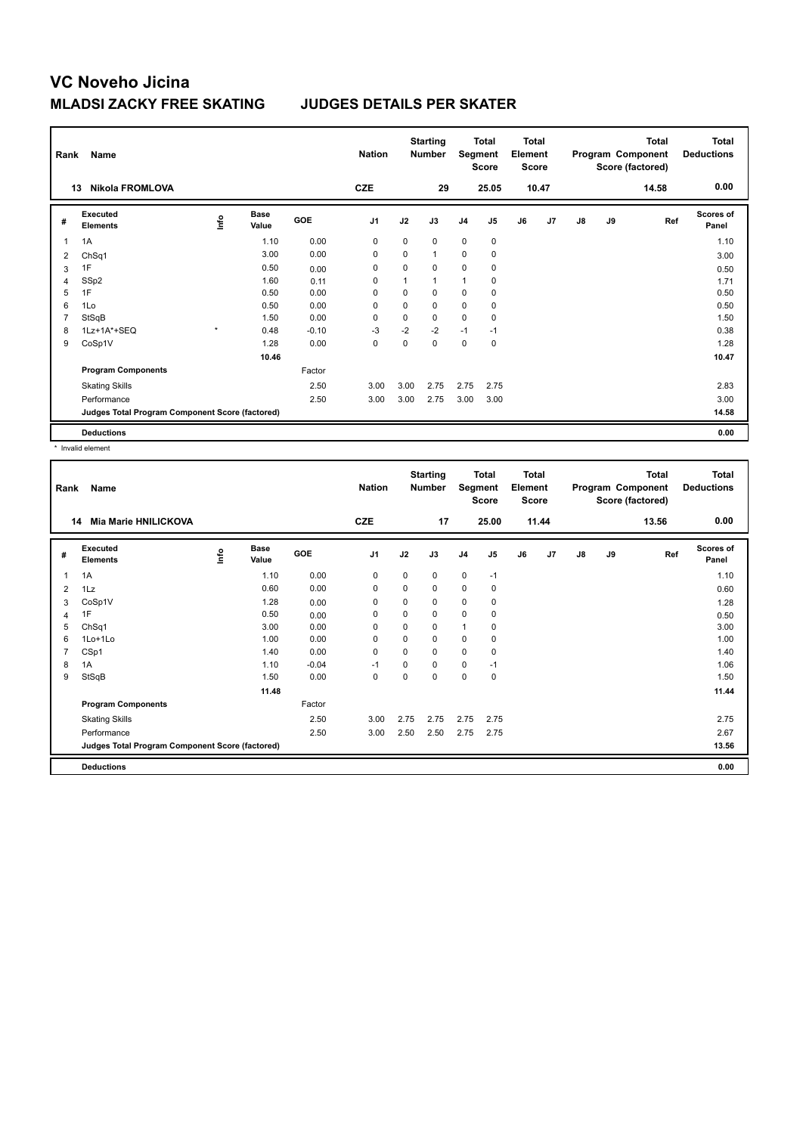| Rank           | Name                                            |         |                      |            | <b>Nation</b> |      | <b>Starting</b><br><b>Number</b> | Segment        | <b>Total</b><br>Score | <b>Total</b><br>Element<br><b>Score</b> |                |               |    | <b>Total</b><br>Program Component<br>Score (factored) | <b>Total</b><br><b>Deductions</b> |
|----------------|-------------------------------------------------|---------|----------------------|------------|---------------|------|----------------------------------|----------------|-----------------------|-----------------------------------------|----------------|---------------|----|-------------------------------------------------------|-----------------------------------|
|                | <b>Nikola FROMLOVA</b><br>13                    |         |                      |            | <b>CZE</b>    |      | 29                               |                | 25.05                 |                                         | 10.47          |               |    | 14.58                                                 | 0.00                              |
| #              | Executed<br><b>Elements</b>                     | lnfo    | <b>Base</b><br>Value | <b>GOE</b> | J1            | J2   | J3                               | J <sub>4</sub> | J5                    | J6                                      | J <sub>7</sub> | $\mathsf{J}8$ | J9 | Ref                                                   | <b>Scores of</b><br>Panel         |
| $\overline{1}$ | 1A                                              |         | 1.10                 | 0.00       | 0             | 0    | 0                                | $\mathbf 0$    | 0                     |                                         |                |               |    |                                                       | 1.10                              |
| 2              | ChSq1                                           |         | 3.00                 | 0.00       | 0             | 0    | 1                                | $\mathbf 0$    | 0                     |                                         |                |               |    |                                                       | 3.00                              |
| 3              | 1F                                              |         | 0.50                 | 0.00       | 0             | 0    | 0                                | 0              | 0                     |                                         |                |               |    |                                                       | 0.50                              |
| 4              | SSp2                                            |         | 1.60                 | 0.11       | $\Omega$      | 1    | 1                                | $\overline{1}$ | 0                     |                                         |                |               |    |                                                       | 1.71                              |
| 5              | 1F                                              |         | 0.50                 | 0.00       | 0             | 0    | 0                                | $\mathbf 0$    | 0                     |                                         |                |               |    |                                                       | 0.50                              |
| 6              | 1Lo                                             |         | 0.50                 | 0.00       | 0             | 0    | $\Omega$                         | $\mathbf 0$    | 0                     |                                         |                |               |    |                                                       | 0.50                              |
| $\overline{7}$ | StSqB                                           |         | 1.50                 | 0.00       | 0             | 0    | 0                                | $\mathbf 0$    | 0                     |                                         |                |               |    |                                                       | 1.50                              |
| 8              | 1Lz+1A*+SEQ                                     | $\star$ | 0.48                 | $-0.10$    | $-3$          | $-2$ | $-2$                             | $-1$           | $-1$                  |                                         |                |               |    |                                                       | 0.38                              |
| 9              | CoSp1V                                          |         | 1.28                 | 0.00       | 0             | 0    | 0                                | $\mathbf 0$    | 0                     |                                         |                |               |    |                                                       | 1.28                              |
|                |                                                 |         | 10.46                |            |               |      |                                  |                |                       |                                         |                |               |    |                                                       | 10.47                             |
|                | <b>Program Components</b>                       |         |                      | Factor     |               |      |                                  |                |                       |                                         |                |               |    |                                                       |                                   |
|                | <b>Skating Skills</b>                           |         |                      | 2.50       | 3.00          | 3.00 | 2.75                             | 2.75           | 2.75                  |                                         |                |               |    |                                                       | 2.83                              |
|                | Performance                                     |         |                      | 2.50       | 3.00          | 3.00 | 2.75                             | 3.00           | 3.00                  |                                         |                |               |    |                                                       | 3.00                              |
|                | Judges Total Program Component Score (factored) |         |                      |            |               |      |                                  |                |                       |                                         |                |               |    |                                                       | 14.58                             |
|                | <b>Deductions</b>                               |         |                      |            |               |      |                                  |                |                       |                                         |                |               |    |                                                       | 0.00                              |

\* Invalid element

| Rank           | <b>Name</b>                                     |      |                      |         | <b>Nation</b> |             | <b>Starting</b><br><b>Number</b> | Segment     | Total<br><b>Score</b> | Total<br>Element<br><b>Score</b> |       |               |    | <b>Total</b><br>Program Component<br>Score (factored) | <b>Total</b><br><b>Deductions</b> |
|----------------|-------------------------------------------------|------|----------------------|---------|---------------|-------------|----------------------------------|-------------|-----------------------|----------------------------------|-------|---------------|----|-------------------------------------------------------|-----------------------------------|
| 14             | Mia Marie HNILICKOVA                            |      |                      |         | <b>CZE</b>    |             | 17                               |             | 25.00                 |                                  | 11.44 |               |    | 13.56                                                 | 0.00                              |
| #              | Executed<br><b>Elements</b>                     | ١nf٥ | <b>Base</b><br>Value | GOE     | J1            | J2          | J3                               | J4          | J <sub>5</sub>        | J6                               | J7    | $\mathsf{J}8$ | J9 | Ref                                                   | <b>Scores of</b><br>Panel         |
| 1              | 1A                                              |      | 1.10                 | 0.00    | 0             | 0           | 0                                | $\mathbf 0$ | $-1$                  |                                  |       |               |    |                                                       | 1.10                              |
| 2              | 1Lz                                             |      | 0.60                 | 0.00    | 0             | $\mathbf 0$ | 0                                | 0           | 0                     |                                  |       |               |    |                                                       | 0.60                              |
| 3              | CoSp1V                                          |      | 1.28                 | 0.00    | 0             | 0           | $\Omega$                         | $\mathbf 0$ | 0                     |                                  |       |               |    |                                                       | 1.28                              |
| 4              | 1F                                              |      | 0.50                 | 0.00    | 0             | $\mathbf 0$ | 0                                | 0           | 0                     |                                  |       |               |    |                                                       | 0.50                              |
| 5              | ChSq1                                           |      | 3.00                 | 0.00    | 0             | 0           | 0                                | 1           | 0                     |                                  |       |               |    |                                                       | 3.00                              |
| 6              | 1Lo+1Lo                                         |      | 1.00                 | 0.00    | 0             | 0           | 0                                | 0           | 0                     |                                  |       |               |    |                                                       | 1.00                              |
| $\overline{7}$ | CSp1                                            |      | 1.40                 | 0.00    | 0             | $\Omega$    | $\Omega$                         | $\mathbf 0$ | 0                     |                                  |       |               |    |                                                       | 1.40                              |
| 8              | 1A                                              |      | 1.10                 | $-0.04$ | $-1$          | 0           | $\Omega$                         | $\mathbf 0$ | $-1$                  |                                  |       |               |    |                                                       | 1.06                              |
| 9              | StSqB                                           |      | 1.50                 | 0.00    | 0             | 0           | $\Omega$                         | 0           | 0                     |                                  |       |               |    |                                                       | 1.50                              |
|                |                                                 |      | 11.48                |         |               |             |                                  |             |                       |                                  |       |               |    |                                                       | 11.44                             |
|                | <b>Program Components</b>                       |      |                      | Factor  |               |             |                                  |             |                       |                                  |       |               |    |                                                       |                                   |
|                | <b>Skating Skills</b>                           |      |                      | 2.50    | 3.00          | 2.75        | 2.75                             | 2.75        | 2.75                  |                                  |       |               |    |                                                       | 2.75                              |
|                | Performance                                     |      |                      | 2.50    | 3.00          | 2.50        | 2.50                             | 2.75        | 2.75                  |                                  |       |               |    |                                                       | 2.67                              |
|                | Judges Total Program Component Score (factored) |      |                      |         |               |             |                                  |             |                       |                                  |       |               |    |                                                       | 13.56                             |
|                | <b>Deductions</b>                               |      |                      |         |               |             |                                  |             |                       |                                  |       |               |    |                                                       | 0.00                              |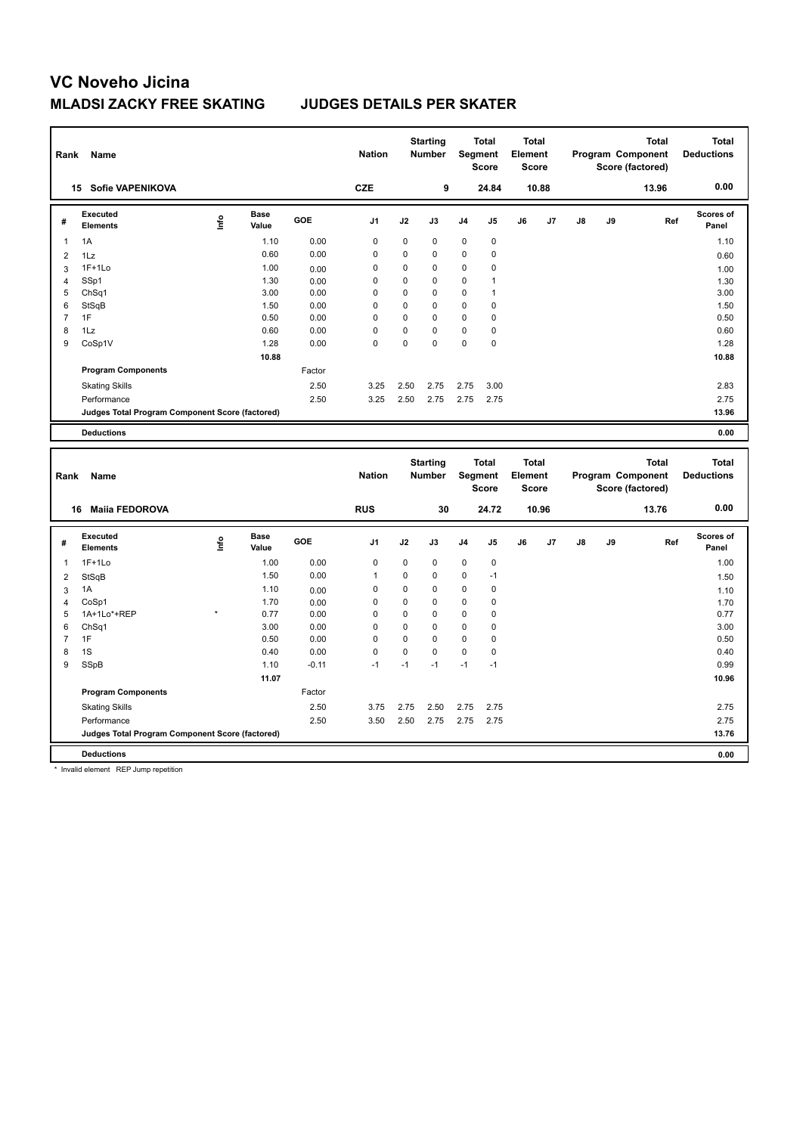| Rank           | Name                                                           |      |                      |              | <b>Nation</b>           |                  | <b>Starting</b><br><b>Number</b> |                  | Total<br>Segment<br>Score | <b>Total</b><br>Element<br><b>Score</b> |       |    |    | <b>Total</b><br>Program Component<br>Score (factored) | <b>Total</b><br><b>Deductions</b> |
|----------------|----------------------------------------------------------------|------|----------------------|--------------|-------------------------|------------------|----------------------------------|------------------|---------------------------|-----------------------------------------|-------|----|----|-------------------------------------------------------|-----------------------------------|
|                | 15 Sofie VAPENIKOVA                                            |      |                      |              | <b>CZE</b>              |                  | 9                                |                  | 24.84                     |                                         | 10.88 |    |    | 13.96                                                 | 0.00                              |
| #              | <b>Executed</b><br><b>Elements</b>                             | ١nf٥ | <b>Base</b><br>Value | GOE          | J1                      | J2               | J3                               | J4               | J5                        | J6                                      | J7    | J8 | J9 | Ref                                                   | Scores of<br>Panel                |
| $\mathbf 1$    | 1A                                                             |      | 1.10                 | 0.00         | 0                       | 0                | 0                                | 0                | 0                         |                                         |       |    |    |                                                       | 1.10                              |
| $\overline{2}$ | 1Lz                                                            |      | 0.60                 | 0.00         | $\mathbf 0$             | 0                | $\mathbf 0$                      | $\mathbf 0$      | 0                         |                                         |       |    |    |                                                       | 0.60                              |
| 3              | $1F+1Lo$                                                       |      | 1.00                 | 0.00         | 0                       | $\mathbf 0$      | $\mathbf 0$                      | 0                | 0                         |                                         |       |    |    |                                                       | 1.00                              |
| 4              | SSp1                                                           |      | 1.30                 | 0.00         | 0                       | 0                | $\mathbf 0$                      | 0                | $\mathbf{1}$              |                                         |       |    |    |                                                       | 1.30                              |
| 5              | ChSq1                                                          |      | 3.00                 | 0.00         | $\mathbf 0$             | $\mathbf 0$      | $\mathbf 0$                      | $\mathbf 0$      | $\mathbf{1}$              |                                         |       |    |    |                                                       | 3.00                              |
| 6              | StSqB                                                          |      | 1.50                 | 0.00         | 0                       | 0                | $\mathbf 0$                      | 0                | 0                         |                                         |       |    |    |                                                       | 1.50                              |
| $\overline{7}$ | 1F                                                             |      | 0.50                 | 0.00         | 0                       | 0                | $\mathbf 0$                      | 0                | 0                         |                                         |       |    |    |                                                       | 0.50                              |
| 8<br>9         | 1Lz                                                            |      | 0.60                 | 0.00<br>0.00 | $\mathbf 0$<br>$\Omega$ | 0<br>0           | $\mathbf 0$<br>$\Omega$          | 0<br>$\mathbf 0$ | $\pmb{0}$<br>$\mathbf 0$  |                                         |       |    |    |                                                       | 0.60                              |
|                | CoSp1V                                                         |      | 1.28                 |              |                         |                  |                                  |                  |                           |                                         |       |    |    |                                                       | 1.28                              |
|                |                                                                |      | 10.88                |              |                         |                  |                                  |                  |                           |                                         |       |    |    |                                                       | 10.88                             |
|                | <b>Program Components</b>                                      |      |                      | Factor       |                         |                  |                                  |                  |                           |                                         |       |    |    |                                                       |                                   |
|                | <b>Skating Skills</b>                                          |      |                      | 2.50         | 3.25                    | 2.50             | 2.75                             | 2.75             | 3.00                      |                                         |       |    |    |                                                       | 2.83                              |
|                | Performance                                                    |      |                      | 2.50         | 3.25                    | 2.50             | 2.75                             | 2.75             | 2.75                      |                                         |       |    |    |                                                       | 2.75                              |
|                | Judges Total Program Component Score (factored)                |      |                      |              |                         |                  |                                  |                  |                           |                                         |       |    |    |                                                       | 13.96                             |
|                | <b>Deductions</b>                                              |      |                      |              |                         |                  |                                  |                  |                           |                                         |       |    |    |                                                       | 0.00                              |
|                |                                                                |      |                      |              |                         |                  | <b>Starting</b>                  |                  | Total                     | <b>Total</b>                            |       |    |    | <b>Total</b>                                          | <b>Total</b>                      |
| Rank           | Name                                                           |      |                      |              | <b>Nation</b>           |                  | Number                           |                  | Segment<br><b>Score</b>   | Element<br><b>Score</b>                 |       |    |    | Program Component<br>Score (factored)                 | <b>Deductions</b>                 |
|                | 16 Maiia FEDOROVA                                              |      |                      |              | <b>RUS</b>              |                  | 30                               |                  | 24.72                     |                                         | 10.96 |    |    | 13.76                                                 | 0.00                              |
| #              | <b>Executed</b><br><b>Elements</b>                             | ۴    | Base<br>Value        | GOE          | J1                      | J2               | J3                               | J4               | J5                        | J6                                      | J7    | J8 | J9 | Ref                                                   | <b>Scores of</b><br>Panel         |
|                |                                                                |      |                      |              |                         |                  |                                  |                  |                           |                                         |       |    |    |                                                       |                                   |
| $\mathbf{1}$   | $1F+1Lo$                                                       |      | 1.00                 | 0.00         | $\mathbf 0$             | $\mathbf 0$      | 0                                | 0                | $\pmb{0}$<br>$-1$         |                                         |       |    |    |                                                       | 1.00                              |
| $\overline{2}$ | StSqB                                                          |      | 1.50                 | 0.00         | $\mathbf{1}$            | 0                | $\mathbf 0$                      | 0                |                           |                                         |       |    |    |                                                       | 1.50                              |
| 3              | 1A                                                             |      | 1.10                 | 0.00         | 0                       | 0                | $\mathbf 0$                      | 0                | $\pmb{0}$                 |                                         |       |    |    |                                                       | 1.10                              |
| $\overline{4}$ | CoSp1                                                          |      | 1.70                 | 0.00         | $\mathbf 0$             | 0                | $\mathbf 0$                      | $\mathbf 0$      | 0                         |                                         |       |    |    |                                                       | 1.70                              |
| 5<br>6         | 1A+1Lo*+REP<br>ChSq1                                           |      | 0.77<br>3.00         | 0.00<br>0.00 | 0<br>$\mathbf 0$        | 0<br>$\mathbf 0$ | $\mathbf 0$<br>$\mathbf 0$       | 0<br>$\mathbf 0$ | 0<br>0                    |                                         |       |    |    |                                                       | 0.77<br>3.00                      |
| $\overline{7}$ | 1F                                                             |      | 0.50                 | 0.00         | 0                       | 0                | $\mathbf 0$                      | 0                | 0                         |                                         |       |    |    |                                                       | 0.50                              |
| 8              | 1S                                                             |      | 0.40                 | 0.00         | $\mathbf 0$             | 0                | $\mathbf 0$                      | $\mathbf 0$      | 0                         |                                         |       |    |    |                                                       | 0.40                              |
| 9              | SSpB                                                           |      | 1.10                 | $-0.11$      | $-1$                    | $-1$             | $-1$                             | $-1$             | $-1$                      |                                         |       |    |    |                                                       | 0.99                              |
|                |                                                                |      | 11.07                |              |                         |                  |                                  |                  |                           |                                         |       |    |    |                                                       | 10.96                             |
|                | <b>Program Components</b>                                      |      |                      | Factor       |                         |                  |                                  |                  |                           |                                         |       |    |    |                                                       |                                   |
|                |                                                                |      |                      | 2.50         | 3.75                    | 2.75             | 2.50                             | 2.75             | 2.75                      |                                         |       |    |    |                                                       | 2.75                              |
|                | <b>Skating Skills</b>                                          |      |                      |              |                         |                  |                                  |                  |                           |                                         |       |    |    |                                                       |                                   |
|                | Performance<br>Judges Total Program Component Score (factored) |      |                      | 2.50         | 3.50                    | 2.50             | 2.75                             | 2.75             | 2.75                      |                                         |       |    |    |                                                       | 2.75<br>13.76                     |

\* Invalid element REP Jump repetition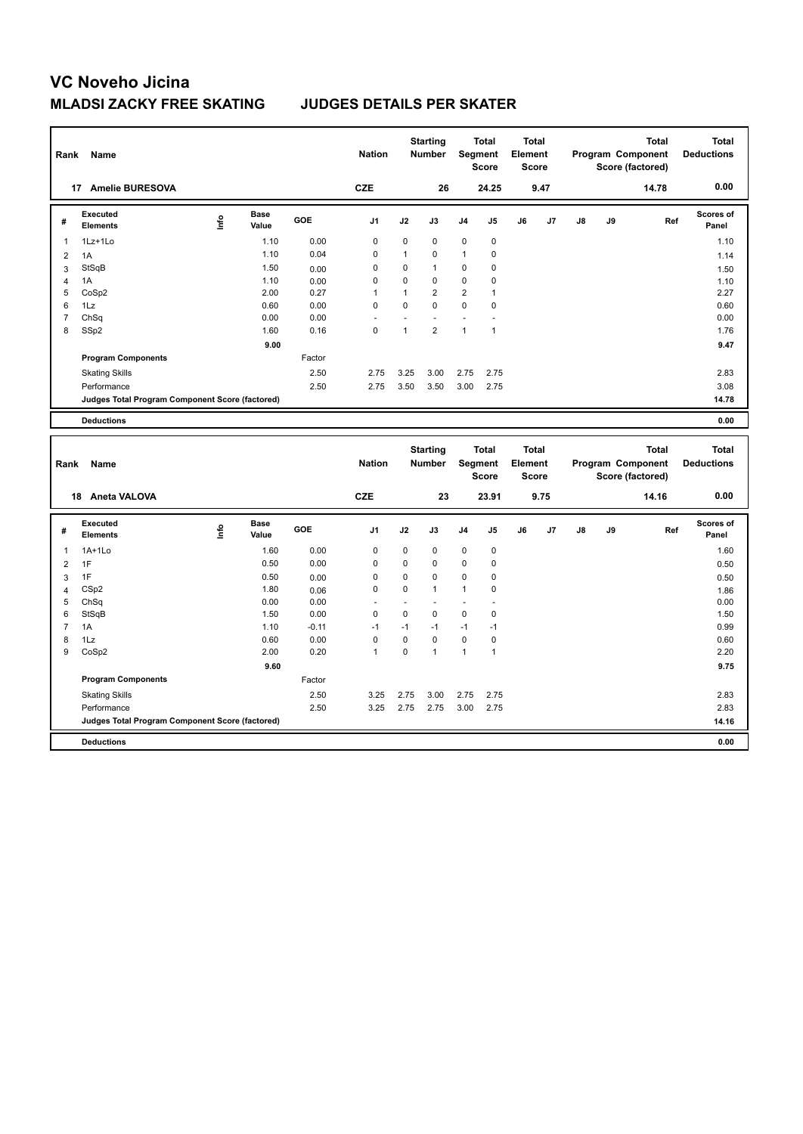| Rank           | Name                                            |      |                      |         | <b>Nation</b>  |              | <b>Starting</b><br><b>Number</b> |                          | <b>Total</b><br>Segment<br><b>Score</b> | <b>Total</b><br>Element<br><b>Score</b> |      |    |    | <b>Total</b><br>Program Component<br>Score (factored) | <b>Total</b><br><b>Deductions</b> |
|----------------|-------------------------------------------------|------|----------------------|---------|----------------|--------------|----------------------------------|--------------------------|-----------------------------------------|-----------------------------------------|------|----|----|-------------------------------------------------------|-----------------------------------|
|                | 17 Amelie BURESOVA                              |      |                      |         | <b>CZE</b>     |              | 26                               |                          | 24.25                                   |                                         | 9.47 |    |    | 14.78                                                 | 0.00                              |
| #              | <b>Executed</b><br><b>Elements</b>              | lnfo | <b>Base</b><br>Value | GOE     | J <sub>1</sub> | J2           | J3                               | J4                       | J5                                      | J6                                      | J7   | J8 | J9 | Ref                                                   | Scores of<br>Panel                |
| 1              | 1Lz+1Lo                                         |      | 1.10                 | 0.00    | $\mathbf 0$    | $\mathbf 0$  | 0                                | 0                        | $\pmb{0}$                               |                                         |      |    |    |                                                       | 1.10                              |
| $\overline{2}$ | 1A                                              |      | 1.10                 | 0.04    | $\mathbf 0$    | $\mathbf{1}$ | 0                                | $\mathbf{1}$             | $\mathbf 0$                             |                                         |      |    |    |                                                       | 1.14                              |
| 3              | StSqB                                           |      | 1.50                 | 0.00    | 0              | $\mathbf 0$  | $\mathbf{1}$                     | 0                        | 0                                       |                                         |      |    |    |                                                       | 1.50                              |
| 4              | 1A                                              |      | 1.10                 | 0.00    | $\mathbf 0$    | $\Omega$     | $\Omega$                         | 0                        | 0                                       |                                         |      |    |    |                                                       | 1.10                              |
| 5              | CoSp2                                           |      | 2.00                 | 0.27    | $\mathbf{1}$   | $\mathbf{1}$ | $\overline{2}$                   | $\overline{2}$           | $\mathbf{1}$                            |                                         |      |    |    |                                                       | 2.27                              |
| 6              | 1Lz                                             |      | 0.60                 | 0.00    | $\mathbf 0$    | $\mathbf 0$  | $\mathbf 0$                      | 0                        | $\mathbf 0$                             |                                         |      |    |    |                                                       | 0.60                              |
| $\overline{7}$ | ChSq                                            |      | 0.00                 | 0.00    | ÷              | L,           |                                  | $\blacksquare$           | $\ddot{\phantom{1}}$                    |                                         |      |    |    |                                                       | 0.00                              |
| 8              | SSp2                                            |      | 1.60                 | 0.16    | $\mathbf 0$    | $\mathbf{1}$ | $\overline{2}$                   | $\mathbf{1}$             | $\mathbf{1}$                            |                                         |      |    |    |                                                       | 1.76                              |
|                |                                                 |      | 9.00                 |         |                |              |                                  |                          |                                         |                                         |      |    |    |                                                       | 9.47                              |
|                | <b>Program Components</b>                       |      |                      | Factor  |                |              |                                  |                          |                                         |                                         |      |    |    |                                                       |                                   |
|                | <b>Skating Skills</b>                           |      |                      | 2.50    | 2.75           | 3.25         | 3.00                             | 2.75                     | 2.75                                    |                                         |      |    |    |                                                       | 2.83                              |
|                | Performance                                     |      |                      | 2.50    | 2.75           | 3.50         | 3.50                             | 3.00                     | 2.75                                    |                                         |      |    |    |                                                       | 3.08                              |
|                | Judges Total Program Component Score (factored) |      |                      |         |                |              |                                  |                          |                                         |                                         |      |    |    |                                                       | 14.78                             |
|                |                                                 |      |                      |         |                |              |                                  |                          |                                         |                                         |      |    |    |                                                       |                                   |
|                | <b>Deductions</b>                               |      |                      |         |                |              |                                  |                          |                                         |                                         |      |    |    |                                                       | 0.00                              |
| Rank           | Name                                            |      |                      |         | <b>Nation</b>  |              | <b>Starting</b><br><b>Number</b> |                          | <b>Total</b><br>Segment                 | <b>Total</b><br>Element                 |      |    |    | <b>Total</b><br>Program Component                     | <b>Total</b><br><b>Deductions</b> |
|                |                                                 |      |                      |         |                |              |                                  |                          | <b>Score</b>                            | <b>Score</b>                            |      |    |    | Score (factored)                                      |                                   |
|                | 18 Aneta VALOVA                                 |      |                      |         | <b>CZE</b>     |              | 23                               |                          | 23.91                                   |                                         | 9.75 |    |    | 14.16                                                 | 0.00                              |
| #              | Executed<br><b>Elements</b>                     | lnfo | <b>Base</b><br>Value | GOE     | J <sub>1</sub> | J2           | J3                               | J <sub>4</sub>           | J5                                      | J6                                      | J7   | J8 | J9 | Ref                                                   | Scores of<br>Panel                |
| 1              | $1A+1Lo$                                        |      | 1.60                 | 0.00    | 0              | $\mathbf 0$  | $\mathbf 0$                      | 0                        | $\pmb{0}$                               |                                         |      |    |    |                                                       | 1.60                              |
| $\overline{2}$ | 1F                                              |      | 0.50                 | 0.00    | $\mathbf 0$    | $\mathbf 0$  | $\Omega$                         | 0                        | $\pmb{0}$                               |                                         |      |    |    |                                                       | 0.50                              |
| 3              | 1F                                              |      | 0.50                 | 0.00    | $\mathbf 0$    | $\mathbf 0$  | 0                                | 0                        | 0                                       |                                         |      |    |    |                                                       | 0.50                              |
| 4              | CSp2                                            |      | 1.80                 | 0.06    | $\mathbf 0$    | $\mathbf 0$  | $\mathbf{1}$                     | $\mathbf{1}$             | $\pmb{0}$                               |                                         |      |    |    |                                                       | 1.86                              |
| 5              | ChSq                                            |      | 0.00                 | 0.00    | ÷              | ÷,           |                                  | $\overline{\phantom{0}}$ |                                         |                                         |      |    |    |                                                       | 0.00                              |
| 6              | StSqB                                           |      | 1.50                 | 0.00    | $\mathbf 0$    | $\mathbf 0$  | $\mathbf 0$                      | 0                        | $\mathbf 0$                             |                                         |      |    |    |                                                       | 1.50                              |
| $\overline{7}$ | 1A                                              |      | 1.10                 | $-0.11$ | $-1$           | $-1$         | $-1$                             | $-1$                     | $-1$                                    |                                         |      |    |    |                                                       | 0.99                              |

|   | <b>Deductions</b>                               |      |         |      |      |      |      |      | 0.00  |  |
|---|-------------------------------------------------|------|---------|------|------|------|------|------|-------|--|
|   | Judges Total Program Component Score (factored) |      |         |      |      |      |      |      | 14.16 |  |
|   | Performance                                     |      | 2.50    | 3.25 | 2.75 | 2.75 | 3.00 | 2.75 | 2.83  |  |
|   | <b>Skating Skills</b>                           |      | 2.50    | 3.25 | 2.75 | 3.00 | 2.75 | 2.75 | 2.83  |  |
|   | <b>Program Components</b>                       |      | Factor  |      |      |      |      |      |       |  |
|   |                                                 | 9.60 |         |      |      |      |      |      | 9.75  |  |
| 9 | CoSp2                                           | 2.00 | 0.20    |      | 0    |      |      |      | 2.20  |  |
| 8 | 1Lz                                             | 0.60 | 0.00    | 0    | 0    | 0    | 0    | 0    | 0.60  |  |
|   | 7 1A                                            | 1.10 | $-0.11$ | -1   | -1   | -1   | -1   | -1   | 0.99  |  |
|   |                                                 |      |         |      |      |      |      |      |       |  |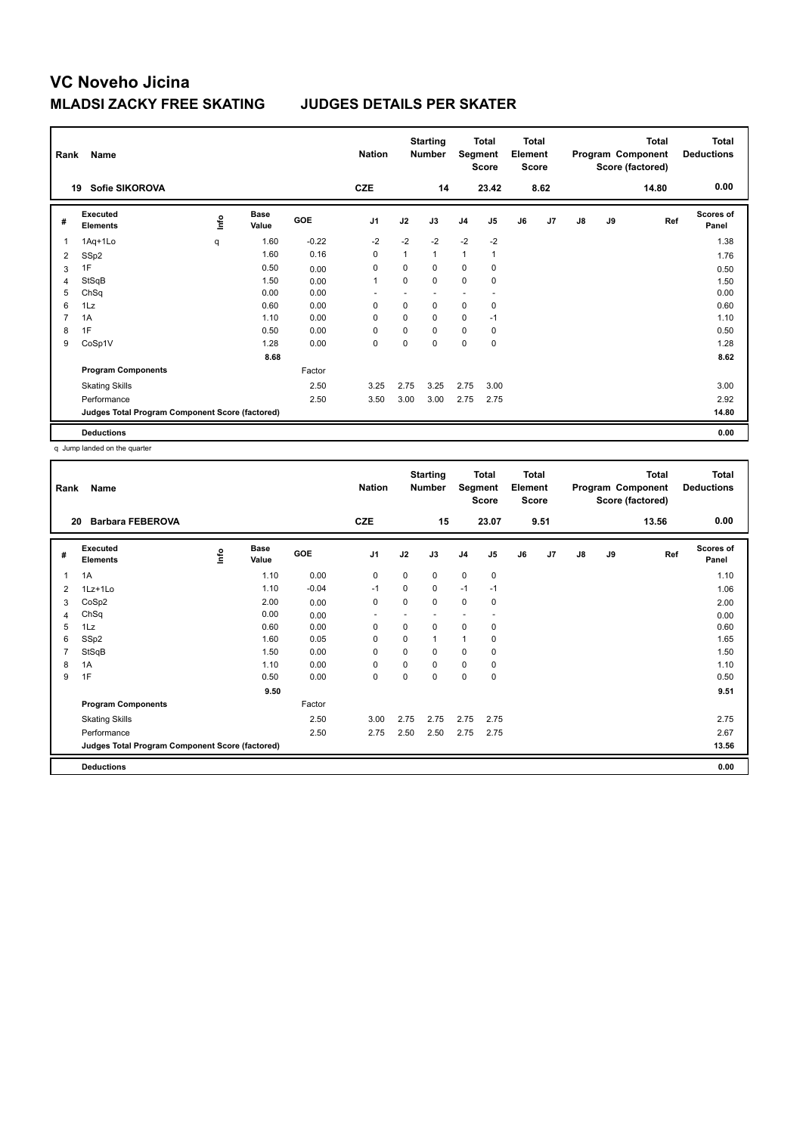| Rank           | Name                                            |      |                      |            | <b>Nation</b>  |             | <b>Starting</b><br><b>Number</b> | Segment        | <b>Total</b><br><b>Score</b> | <b>Total</b><br>Element<br><b>Score</b> |                |    |    | <b>Total</b><br>Program Component<br>Score (factored) | <b>Total</b><br><b>Deductions</b> |
|----------------|-------------------------------------------------|------|----------------------|------------|----------------|-------------|----------------------------------|----------------|------------------------------|-----------------------------------------|----------------|----|----|-------------------------------------------------------|-----------------------------------|
|                | Sofie SIKOROVA<br>19                            |      |                      |            | <b>CZE</b>     |             | 14                               |                | 23.42                        |                                         | 8.62           |    |    | 14.80                                                 | 0.00                              |
| #              | Executed<br><b>Elements</b>                     | lnfo | <b>Base</b><br>Value | <b>GOE</b> | J <sub>1</sub> | J2          | J3                               | J <sub>4</sub> | J <sub>5</sub>               | J6                                      | J <sub>7</sub> | J8 | J9 | Ref                                                   | <b>Scores of</b><br>Panel         |
| $\overline{1}$ | 1Aq+1Lo                                         | q    | 1.60                 | $-0.22$    | $-2$           | $-2$        | $-2$                             | $-2$           | $-2$                         |                                         |                |    |    |                                                       | 1.38                              |
| 2              | SSp2                                            |      | 1.60                 | 0.16       | $\mathbf 0$    | 1           | 1                                | $\mathbf{1}$   | 1                            |                                         |                |    |    |                                                       | 1.76                              |
| 3              | 1F                                              |      | 0.50                 | 0.00       | 0              | 0           | 0                                | $\mathbf 0$    | 0                            |                                         |                |    |    |                                                       | 0.50                              |
| 4              | StSqB                                           |      | 1.50                 | 0.00       | $\mathbf{1}$   | 0           | 0                                | $\mathbf 0$    | 0                            |                                         |                |    |    |                                                       | 1.50                              |
| 5              | ChSq                                            |      | 0.00                 | 0.00       |                |             |                                  | ۰              | ٠                            |                                         |                |    |    |                                                       | 0.00                              |
| 6              | 1Lz                                             |      | 0.60                 | 0.00       | 0              | $\mathbf 0$ | $\Omega$                         | $\mathbf 0$    | 0                            |                                         |                |    |    |                                                       | 0.60                              |
| $\overline{7}$ | 1A                                              |      | 1.10                 | 0.00       | 0              | 0           | 0                                | $\mathbf 0$    | $-1$                         |                                         |                |    |    |                                                       | 1.10                              |
| 8              | 1F                                              |      | 0.50                 | 0.00       | 0              | 0           | $\Omega$                         | $\mathbf 0$    | 0                            |                                         |                |    |    |                                                       | 0.50                              |
| 9              | CoSp1V                                          |      | 1.28                 | 0.00       | $\mathbf 0$    | 0           | 0                                | $\mathbf 0$    | 0                            |                                         |                |    |    |                                                       | 1.28                              |
|                |                                                 |      | 8.68                 |            |                |             |                                  |                |                              |                                         |                |    |    |                                                       | 8.62                              |
|                | <b>Program Components</b>                       |      |                      | Factor     |                |             |                                  |                |                              |                                         |                |    |    |                                                       |                                   |
|                | <b>Skating Skills</b>                           |      |                      | 2.50       | 3.25           | 2.75        | 3.25                             | 2.75           | 3.00                         |                                         |                |    |    |                                                       | 3.00                              |
|                | Performance                                     |      |                      | 2.50       | 3.50           | 3.00        | 3.00                             | 2.75           | 2.75                         |                                         |                |    |    |                                                       | 2.92                              |
|                | Judges Total Program Component Score (factored) |      |                      |            |                |             |                                  |                |                              |                                         |                |    |    |                                                       | 14.80                             |
|                | <b>Deductions</b>                               |      |                      |            |                |             |                                  |                |                              |                                         |                |    |    |                                                       | 0.00                              |

q Jump landed on the quarter

| Rank | Name                                            |       |                      |         | <b>Nation</b>            |          | <b>Starting</b><br><b>Number</b> | Segment        | <b>Total</b><br><b>Score</b> | <b>Total</b><br>Element<br><b>Score</b> |      |               |    | <b>Total</b><br>Program Component<br>Score (factored) | <b>Total</b><br><b>Deductions</b> |
|------|-------------------------------------------------|-------|----------------------|---------|--------------------------|----------|----------------------------------|----------------|------------------------------|-----------------------------------------|------|---------------|----|-------------------------------------------------------|-----------------------------------|
| 20   | <b>Barbara FEBEROVA</b>                         |       |                      |         | <b>CZE</b>               |          | 15                               |                | 23.07                        |                                         | 9.51 |               |    | 13.56                                                 | 0.00                              |
| #    | Executed<br><b>Elements</b>                     | Linfo | <b>Base</b><br>Value | GOE     | J <sub>1</sub>           | J2       | J3                               | J <sub>4</sub> | J5                           | J6                                      | J7   | $\mathsf{J}8$ | J9 | Ref                                                   | <b>Scores of</b><br>Panel         |
| 1    | 1A                                              |       | 1.10                 | 0.00    | 0                        | 0        | 0                                | $\mathbf 0$    | 0                            |                                         |      |               |    |                                                       | 1.10                              |
| 2    | $1Lz+1Lo$                                       |       | 1.10                 | $-0.04$ | $-1$                     | 0        | 0                                | $-1$           | $-1$                         |                                         |      |               |    |                                                       | 1.06                              |
| 3    | CoSp2                                           |       | 2.00                 | 0.00    | 0                        | $\Omega$ | $\Omega$                         | $\mathbf 0$    | 0                            |                                         |      |               |    |                                                       | 2.00                              |
| 4    | ChSq                                            |       | 0.00                 | 0.00    | $\overline{\phantom{a}}$ |          |                                  |                |                              |                                         |      |               |    |                                                       | 0.00                              |
| 5    | 1Lz                                             |       | 0.60                 | 0.00    | 0                        | 0        | 0                                | $\mathbf 0$    | 0                            |                                         |      |               |    |                                                       | 0.60                              |
| 6    | SSp2                                            |       | 1.60                 | 0.05    | 0                        | 0        | $\mathbf{1}$                     | $\mathbf{1}$   | 0                            |                                         |      |               |    |                                                       | 1.65                              |
| 7    | StSqB                                           |       | 1.50                 | 0.00    | 0                        | 0        | 0                                | 0              | 0                            |                                         |      |               |    |                                                       | 1.50                              |
| 8    | 1A                                              |       | 1.10                 | 0.00    | 0                        | 0        | 0                                | 0              | 0                            |                                         |      |               |    |                                                       | 1.10                              |
| 9    | 1F                                              |       | 0.50                 | 0.00    | $\mathbf 0$              | 0        | 0                                | 0              | 0                            |                                         |      |               |    |                                                       | 0.50                              |
|      |                                                 |       | 9.50                 |         |                          |          |                                  |                |                              |                                         |      |               |    |                                                       | 9.51                              |
|      | <b>Program Components</b>                       |       |                      | Factor  |                          |          |                                  |                |                              |                                         |      |               |    |                                                       |                                   |
|      | <b>Skating Skills</b>                           |       |                      | 2.50    | 3.00                     | 2.75     | 2.75                             | 2.75           | 2.75                         |                                         |      |               |    |                                                       | 2.75                              |
|      | Performance                                     |       |                      | 2.50    | 2.75                     | 2.50     | 2.50                             | 2.75           | 2.75                         |                                         |      |               |    |                                                       | 2.67                              |
|      | Judges Total Program Component Score (factored) |       |                      |         |                          |          |                                  |                |                              |                                         |      |               |    |                                                       | 13.56                             |
|      | <b>Deductions</b>                               |       |                      |         |                          |          |                                  |                |                              |                                         |      |               |    |                                                       | 0.00                              |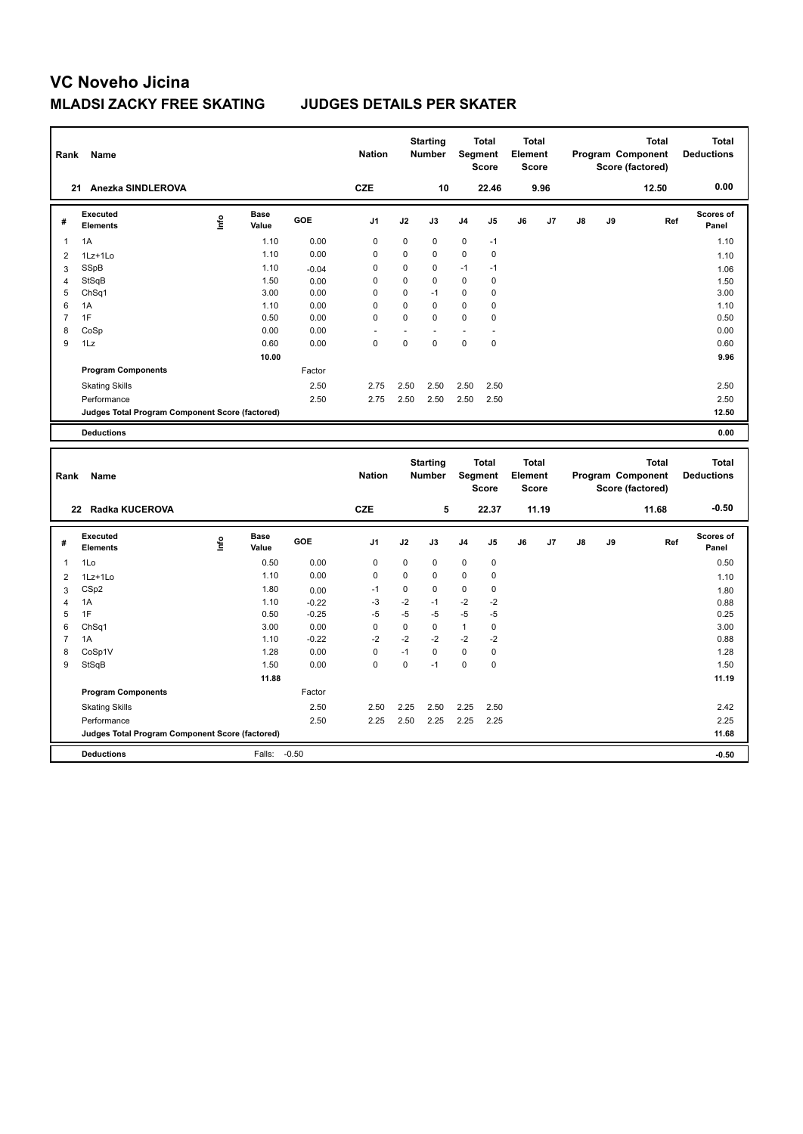| Rank                | <b>Name</b>                                     |      |                      |                 | <b>Nation</b> |             | <b>Starting</b><br><b>Number</b> |              | <b>Total</b><br>Segment<br><b>Score</b> | <b>Total</b><br>Element<br><b>Score</b> |       |    |    | <b>Total</b><br>Program Component<br>Score (factored) | <b>Total</b><br><b>Deductions</b> |
|---------------------|-------------------------------------------------|------|----------------------|-----------------|---------------|-------------|----------------------------------|--------------|-----------------------------------------|-----------------------------------------|-------|----|----|-------------------------------------------------------|-----------------------------------|
|                     | 21 Anezka SINDLEROVA                            |      |                      |                 | <b>CZE</b>    |             | 10                               |              | 22.46                                   |                                         | 9.96  |    |    | 12.50                                                 | 0.00                              |
| #                   | Executed<br><b>Elements</b>                     | Lnfo | <b>Base</b><br>Value | GOE             | J1            | J2          | J3                               | J4           | J5                                      | J6                                      | J7    | J8 | J9 | Ref                                                   | Scores of<br>Panel                |
| $\overline{1}$      | 1A                                              |      | 1.10                 | 0.00            | $\mathbf 0$   | 0           | $\pmb{0}$                        | $\pmb{0}$    | $-1$                                    |                                         |       |    |    |                                                       | 1.10                              |
| $\overline{2}$      | 1Lz+1Lo                                         |      | 1.10                 | 0.00            | $\mathbf 0$   | $\mathbf 0$ | $\mathbf 0$                      | $\mathbf 0$  | $\pmb{0}$                               |                                         |       |    |    |                                                       | 1.10                              |
| 3                   | SSpB                                            |      | 1.10                 | $-0.04$         | 0             | 0           | 0                                | $-1$         | $-1$                                    |                                         |       |    |    |                                                       | 1.06                              |
| $\overline{4}$      | StSqB                                           |      | 1.50                 | 0.00            | $\mathbf 0$   | $\mathbf 0$ | $\mathbf 0$                      | $\mathbf 0$  | 0                                       |                                         |       |    |    |                                                       | 1.50                              |
| 5                   | Ch <sub>Sq1</sub>                               |      | 3.00                 | 0.00            | $\mathbf 0$   | $\mathbf 0$ | $-1$                             | $\mathbf 0$  | 0                                       |                                         |       |    |    |                                                       | 3.00                              |
| 6                   | 1A                                              |      | 1.10                 | 0.00            | 0             | $\mathbf 0$ | $\mathbf 0$                      | $\mathbf 0$  | 0                                       |                                         |       |    |    |                                                       | 1.10                              |
| $\overline{7}$      | 1F                                              |      | 0.50                 | 0.00            | $\Omega$      | $\mathbf 0$ | $\Omega$                         | $\mathbf 0$  | 0                                       |                                         |       |    |    |                                                       | 0.50                              |
| 8                   | CoSp                                            |      | 0.00                 | 0.00            |               |             |                                  |              |                                         |                                         |       |    |    |                                                       | 0.00                              |
| 9                   | 1Lz                                             |      | 0.60                 | 0.00            | $\mathbf 0$   | $\mathbf 0$ | $\mathbf 0$                      | $\mathbf 0$  | 0                                       |                                         |       |    |    |                                                       | 0.60                              |
|                     |                                                 |      | 10.00                |                 |               |             |                                  |              |                                         |                                         |       |    |    |                                                       | 9.96                              |
|                     | <b>Program Components</b>                       |      |                      | Factor          |               |             |                                  |              |                                         |                                         |       |    |    |                                                       |                                   |
|                     | <b>Skating Skills</b>                           |      |                      | 2.50            | 2.75          | 2.50        | 2.50                             | 2.50         | 2.50                                    |                                         |       |    |    |                                                       | 2.50                              |
|                     | Performance                                     |      |                      | 2.50            | 2.75          | 2.50        | 2.50                             | 2.50         | 2.50                                    |                                         |       |    |    |                                                       | 2.50                              |
|                     | Judges Total Program Component Score (factored) |      |                      |                 |               |             |                                  |              |                                         |                                         |       |    |    |                                                       | 12.50                             |
|                     | <b>Deductions</b>                               |      |                      |                 |               |             |                                  |              |                                         |                                         |       |    |    |                                                       | 0.00                              |
| Rank                | Name                                            |      |                      |                 | <b>Nation</b> |             | <b>Starting</b><br>Number        |              | <b>Total</b><br>Segment<br>Score        | <b>Total</b><br>Element<br><b>Score</b> |       |    |    | <b>Total</b><br>Program Component<br>Score (factored) | <b>Total</b><br><b>Deductions</b> |
|                     | 22 Radka KUCEROVA                               |      |                      |                 | <b>CZE</b>    |             | 5                                |              | 22.37                                   |                                         | 11.19 |    |    | 11.68                                                 | $-0.50$                           |
| #                   | Executed                                        |      |                      |                 |               |             |                                  |              |                                         |                                         |       |    |    |                                                       |                                   |
|                     | <b>Elements</b>                                 | Life | Base<br>Value        | GOE             | J1            | J2          | J3                               | J4           | J5                                      | J6                                      | J7    | J8 | J9 | Ref                                                   | <b>Scores of</b><br>Panel         |
| 1                   | 1Lo                                             |      | 0.50                 | 0.00            | $\mathbf 0$   | $\mathbf 0$ | 0                                | $\pmb{0}$    | 0                                       |                                         |       |    |    |                                                       | 0.50                              |
|                     |                                                 |      | 1.10                 | 0.00            | $\mathbf 0$   | $\mathbf 0$ | 0                                | 0            | 0                                       |                                         |       |    |    |                                                       |                                   |
| $\overline{2}$      | 1Lz+1Lo<br>CS <sub>p2</sub>                     |      | 1.80                 |                 | $-1$          | $\mathbf 0$ | $\mathbf 0$                      | $\mathbf 0$  | 0                                       |                                         |       |    |    |                                                       | 1.10                              |
| 3<br>$\overline{4}$ | 1A                                              |      | 1.10                 | 0.00<br>$-0.22$ | -3            | $-2$        | $-1$                             | $-2$         | $-2$                                    |                                         |       |    |    |                                                       | 1.80                              |
| 5                   | 1F                                              |      | 0.50                 | $-0.25$         | $-5$          | $-5$        | $-5$                             | $-5$         | $-5$                                    |                                         |       |    |    |                                                       | 0.88<br>0.25                      |
| 6                   | Ch <sub>Sq1</sub>                               |      | 3.00                 | 0.00            | $\mathbf 0$   | $\mathbf 0$ | $\mathbf 0$                      | $\mathbf{1}$ | $\mathbf 0$                             |                                         |       |    |    |                                                       | 3.00                              |
| 7                   | 1A                                              |      | 1.10                 | $-0.22$         | $-2$          | $-2$        | $-2$                             | $-2$         | $-2$                                    |                                         |       |    |    |                                                       | 0.88                              |
| 8                   | CoSp1V                                          |      | 1.28                 | 0.00            | $\mathbf 0$   | $-1$        | $\mathbf 0$                      | $\mathbf 0$  | 0                                       |                                         |       |    |    |                                                       | 1.28                              |
| 9                   | StSqB                                           |      | 1.50                 | 0.00            | $\Omega$      | $\Omega$    | $-1$                             | $\Omega$     | 0                                       |                                         |       |    |    |                                                       | 1.50                              |
|                     |                                                 |      | 11.88                |                 |               |             |                                  |              |                                         |                                         |       |    |    |                                                       | 11.19                             |
|                     | <b>Program Components</b>                       |      |                      | Factor          |               |             |                                  |              |                                         |                                         |       |    |    |                                                       |                                   |
|                     | <b>Skating Skills</b>                           |      |                      | 2.50            | 2.50          | 2.25        | 2.50                             | 2.25         | 2.50                                    |                                         |       |    |    |                                                       | 2.42                              |
|                     | Performance                                     |      |                      | 2.50            | 2.25          | 2.50        | 2.25                             | 2.25         | 2.25                                    |                                         |       |    |    |                                                       | 2.25                              |
|                     | Judges Total Program Component Score (factored) |      |                      |                 |               |             |                                  |              |                                         |                                         |       |    |    |                                                       | 11.68                             |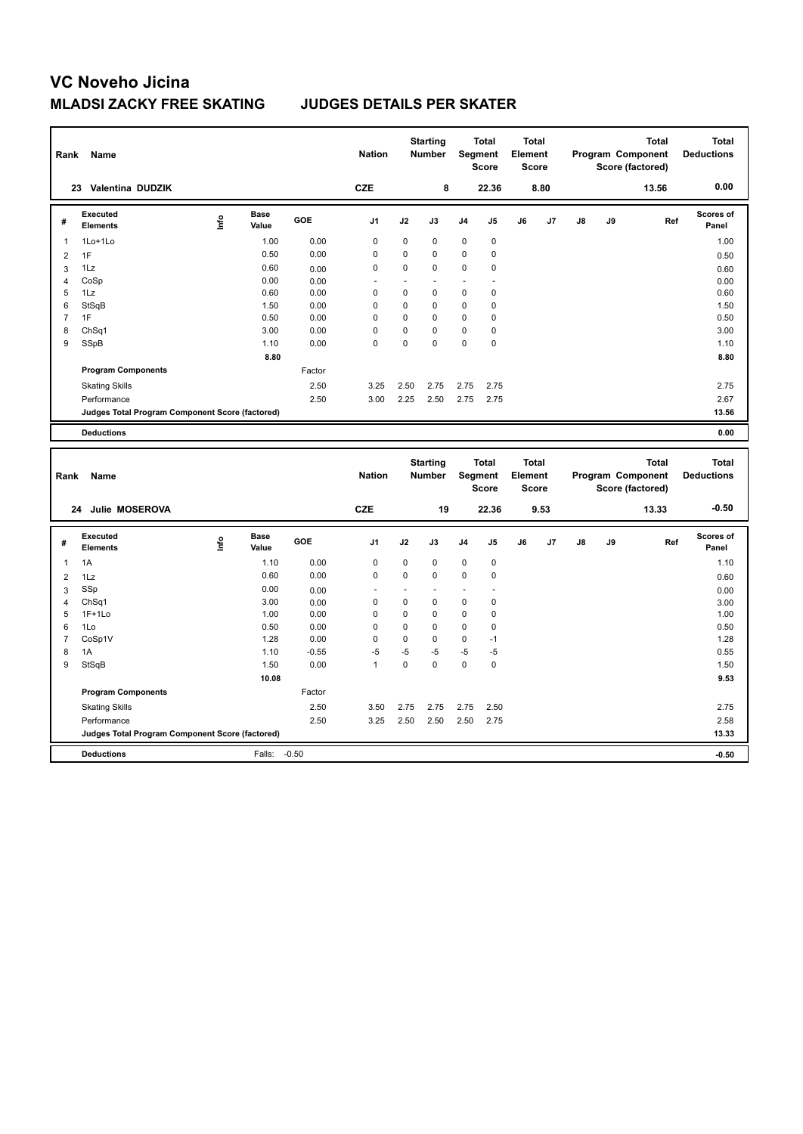| Rank           | Name                                            |      |                      |         | <b>Nation</b>  |          | <b>Starting</b><br><b>Number</b> |                | <b>Total</b><br>Segment<br>Score        | <b>Total</b><br>Element | <b>Score</b>                 |    |    | <b>Total</b><br>Program Component<br>Score (factored) |     | <b>Total</b><br><b>Deductions</b> |
|----------------|-------------------------------------------------|------|----------------------|---------|----------------|----------|----------------------------------|----------------|-----------------------------------------|-------------------------|------------------------------|----|----|-------------------------------------------------------|-----|-----------------------------------|
|                | 23 Valentina DUDZIK                             |      |                      |         | <b>CZE</b>     |          | 8                                |                | 22.36                                   |                         | 8.80                         |    |    | 13.56                                                 |     | 0.00                              |
| #              | Executed<br><b>Elements</b>                     | lnfo | <b>Base</b><br>Value | GOE     | J <sub>1</sub> | J2       | J3                               | J4             | J5                                      | J6                      | J7                           | J8 | J9 |                                                       | Ref | Scores of<br>Panel                |
| 1              | 1Lo+1Lo                                         |      | 1.00                 | 0.00    | 0              | 0        | 0                                | 0              | $\pmb{0}$                               |                         |                              |    |    |                                                       |     | 1.00                              |
| $\overline{2}$ | 1F                                              |      | 0.50                 | 0.00    | $\mathbf 0$    | 0        | $\mathbf 0$                      | 0              | 0                                       |                         |                              |    |    |                                                       |     | 0.50                              |
| 3              | 1Lz                                             |      | 0.60                 | 0.00    | $\mathbf 0$    | 0        | $\mathbf 0$                      | $\mathbf 0$    | $\mathbf 0$                             |                         |                              |    |    |                                                       |     | 0.60                              |
| $\overline{4}$ | CoSp                                            |      | 0.00                 | 0.00    |                | ÷.       | ä,                               | $\overline{a}$ | L.                                      |                         |                              |    |    |                                                       |     | 0.00                              |
| 5              | 1Lz                                             |      | 0.60                 | 0.00    | $\mathbf 0$    | 0        | $\mathbf 0$                      | $\mathbf 0$    | $\pmb{0}$                               |                         |                              |    |    |                                                       |     | 0.60                              |
| 6              | StSqB                                           |      | 1.50                 | 0.00    | $\Omega$       | $\Omega$ | $\Omega$                         | $\Omega$       | 0                                       |                         |                              |    |    |                                                       |     | 1.50                              |
| $\overline{7}$ | 1F                                              |      | 0.50                 | 0.00    | $\mathbf 0$    | 0        | $\mathbf 0$                      | $\mathbf 0$    | $\mathbf 0$                             |                         |                              |    |    |                                                       |     | 0.50                              |
| 8              | Ch <sub>Sq1</sub>                               |      | 3.00                 | 0.00    | $\mathbf 0$    | 0<br>0   | $\mathbf 0$<br>$\mathbf 0$       | $\mathbf 0$    | 0                                       |                         |                              |    |    |                                                       |     | 3.00                              |
| 9              | SSpB                                            |      | 1.10                 | 0.00    | $\mathbf 0$    |          |                                  | $\mathbf 0$    | 0                                       |                         |                              |    |    |                                                       |     | 1.10                              |
|                |                                                 |      | 8.80                 |         |                |          |                                  |                |                                         |                         |                              |    |    |                                                       |     | 8.80                              |
|                | <b>Program Components</b>                       |      |                      | Factor  |                |          |                                  |                |                                         |                         |                              |    |    |                                                       |     |                                   |
|                | <b>Skating Skills</b>                           |      |                      | 2.50    | 3.25           | 2.50     | 2.75                             | 2.75           | 2.75                                    |                         |                              |    |    |                                                       |     | 2.75                              |
|                | Performance                                     |      |                      | 2.50    | 3.00           | 2.25     | 2.50                             | 2.75           | 2.75                                    |                         |                              |    |    |                                                       |     | 2.67                              |
|                | Judges Total Program Component Score (factored) |      |                      |         |                |          |                                  |                |                                         |                         |                              |    |    |                                                       |     | 13.56                             |
|                | <b>Deductions</b>                               |      |                      |         |                |          |                                  |                |                                         |                         |                              |    |    |                                                       |     | 0.00                              |
|                |                                                 |      |                      |         |                |          |                                  |                |                                         |                         |                              |    |    |                                                       |     |                                   |
| Rank           | Name                                            |      |                      |         | <b>Nation</b>  |          | <b>Starting</b><br>Number        |                | <b>Total</b><br>Segment<br><b>Score</b> | Element                 | <b>Total</b><br><b>Score</b> |    |    | <b>Total</b><br>Program Component<br>Score (factored) |     | <b>Total</b><br><b>Deductions</b> |
|                | Julie MOSEROVA<br>24                            |      |                      |         | <b>CZE</b>     |          | 19                               |                | 22.36                                   |                         | 9.53                         |    |    | 13.33                                                 |     | $-0.50$                           |
| #              | Executed<br><b>Elements</b>                     | e    | <b>Base</b><br>Value | GOE     | J1             | J2       | J3                               | J4             | J5                                      | J6                      | J7                           | J8 | J9 |                                                       | Ref | <b>Scores of</b><br>Panel         |
| $\overline{1}$ | 1A                                              |      | 1.10                 | 0.00    | 0              | 0        | 0                                | 0              | $\pmb{0}$                               |                         |                              |    |    |                                                       |     | 1.10                              |
| $\overline{2}$ | 1Lz                                             |      | 0.60                 | 0.00    | $\mathbf 0$    | 0        | $\mathbf 0$                      | 0              | $\pmb{0}$                               |                         |                              |    |    |                                                       |     | 0.60                              |
| 3              | SSp                                             |      | 0.00                 | 0.00    |                | ä,       |                                  |                | ÷,                                      |                         |                              |    |    |                                                       |     |                                   |
| $\overline{4}$ | Ch <sub>Sq1</sub>                               |      | 3.00                 | 0.00    | 0              | 0        | $\mathbf 0$                      | 0              | $\mathbf 0$                             |                         |                              |    |    |                                                       |     | 0.00<br>3.00                      |
| 5              | $1F+1Lo$                                        |      | 1.00                 | 0.00    | $\mathbf 0$    | 0        | $\mathbf 0$                      | $\mathbf 0$    | $\mathbf 0$                             |                         |                              |    |    |                                                       |     | 1.00                              |
| 6              | 1Lo                                             |      | 0.50                 | 0.00    | 0              | 0        | $\mathbf 0$                      | 0              | 0                                       |                         |                              |    |    |                                                       |     | 0.50                              |
| $\overline{7}$ | CoSp1V                                          |      | 1.28                 | 0.00    | $\mathbf 0$    | 0        | $\mathbf 0$                      | $\mathbf 0$    | $-1$                                    |                         |                              |    |    |                                                       |     | 1.28                              |
| 8              | 1A                                              |      | 1.10                 | $-0.55$ | $-5$           | $-5$     | $-5$                             | $-5$           | $-5$                                    |                         |                              |    |    |                                                       |     | 0.55                              |
| 9              | StSqB                                           |      | 1.50                 | 0.00    | $\mathbf{1}$   | 0        | $\mathbf 0$                      | $\mathbf 0$    | $\mathbf 0$                             |                         |                              |    |    |                                                       |     | 1.50                              |
|                |                                                 |      | 10.08                |         |                |          |                                  |                |                                         |                         |                              |    |    |                                                       |     | 9.53                              |
|                | <b>Program Components</b>                       |      |                      | Factor  |                |          |                                  |                |                                         |                         |                              |    |    |                                                       |     |                                   |
|                | <b>Skating Skills</b>                           |      |                      | 2.50    | 3.50           | 2.75     | 2.75                             | 2.75           | 2.50                                    |                         |                              |    |    |                                                       |     | 2.75                              |
|                | Performance                                     |      |                      | 2.50    | 3.25           | 2.50     | 2.50                             | 2.50           | 2.75                                    |                         |                              |    |    |                                                       |     | 2.58                              |
|                | Judges Total Program Component Score (factored) |      |                      |         |                |          |                                  |                |                                         |                         |                              |    |    |                                                       |     | 13.33                             |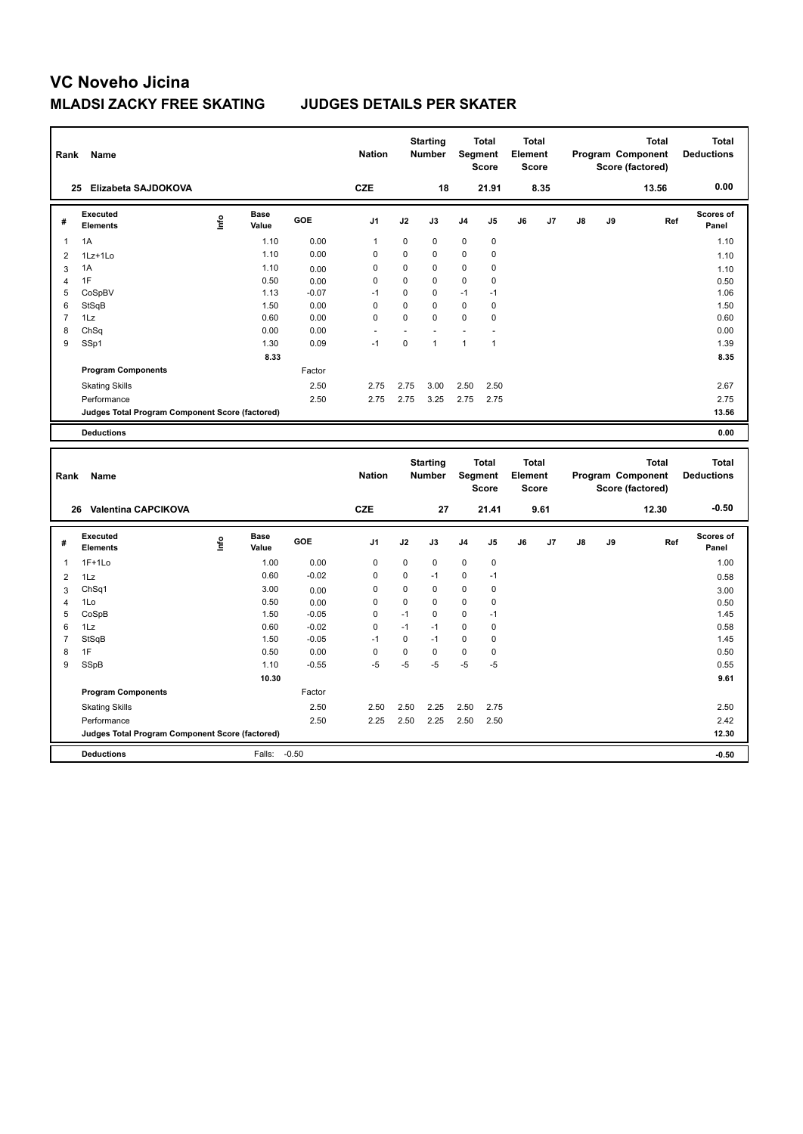| Rank           | <b>Name</b>                                     |       |                      |         | <b>Nation</b>  |                          | <b>Starting</b><br>Number |              | <b>Total</b><br>Segment<br><b>Score</b> | <b>Total</b><br>Element | <b>Score</b> |               |    | <b>Total</b><br>Program Component<br>Score (factored) | <b>Total</b><br><b>Deductions</b> |
|----------------|-------------------------------------------------|-------|----------------------|---------|----------------|--------------------------|---------------------------|--------------|-----------------------------------------|-------------------------|--------------|---------------|----|-------------------------------------------------------|-----------------------------------|
|                | 25 Elizabeta SAJDOKOVA                          |       |                      |         | <b>CZE</b>     |                          | 18                        |              | 21.91                                   |                         | 8.35         |               |    | 13.56                                                 | 0.00                              |
| #              | Executed<br><b>Elements</b>                     | Linfo | <b>Base</b><br>Value | GOE     | J1             | J2                       | J3                        | J4           | J5                                      | J6                      | J7           | J8            | J9 | Ref                                                   | Scores of<br>Panel                |
| $\overline{1}$ | 1A                                              |       | 1.10                 | 0.00    | 1              | 0                        | 0                         | 0            | $\pmb{0}$                               |                         |              |               |    |                                                       | 1.10                              |
| $\overline{2}$ | 1Lz+1Lo                                         |       | 1.10                 | 0.00    | $\mathbf 0$    | 0                        | $\mathbf 0$               | 0            | $\mathbf 0$                             |                         |              |               |    |                                                       | 1.10                              |
| 3              | 1A                                              |       | 1.10                 | 0.00    | 0              | 0                        | $\mathbf 0$               | 0            | 0                                       |                         |              |               |    |                                                       | 1.10                              |
| $\overline{4}$ | 1F                                              |       | 0.50                 | 0.00    | $\mathbf 0$    | 0                        | $\mathbf 0$               | $\mathbf 0$  | 0                                       |                         |              |               |    |                                                       | 0.50                              |
| 5              | CoSpBV                                          |       | 1.13                 | $-0.07$ | $-1$           | 0                        | $\mathbf 0$               | $-1$         | $-1$                                    |                         |              |               |    |                                                       | 1.06                              |
| 6              | StSqB                                           |       | 1.50                 | 0.00    | $\mathbf 0$    | 0                        | $\mathbf 0$               | $\mathbf 0$  | 0                                       |                         |              |               |    |                                                       | 1.50                              |
| $\overline{7}$ | 1Lz                                             |       | 0.60                 | 0.00    | $\mathbf 0$    | 0                        | $\Omega$                  | $\mathbf 0$  | $\mathbf 0$                             |                         |              |               |    |                                                       | 0.60                              |
| 8              | ChSq                                            |       | 0.00                 | 0.00    |                | $\overline{\phantom{a}}$ |                           |              | ÷                                       |                         |              |               |    |                                                       | 0.00                              |
| 9              | SSp1                                            |       | 1.30                 | 0.09    | $-1$           | 0                        | $\mathbf{1}$              | $\mathbf{1}$ | $\mathbf{1}$                            |                         |              |               |    |                                                       | 1.39                              |
|                |                                                 |       | 8.33                 |         |                |                          |                           |              |                                         |                         |              |               |    |                                                       | 8.35                              |
|                | <b>Program Components</b>                       |       |                      | Factor  |                |                          |                           |              |                                         |                         |              |               |    |                                                       |                                   |
|                | <b>Skating Skills</b>                           |       |                      | 2.50    | 2.75           | 2.75                     | 3.00                      | 2.50         | 2.50                                    |                         |              |               |    |                                                       | 2.67                              |
|                | Performance                                     |       |                      | 2.50    | 2.75           | 2.75                     | 3.25                      | 2.75         | 2.75                                    |                         |              |               |    |                                                       | 2.75                              |
|                | Judges Total Program Component Score (factored) |       |                      |         |                |                          |                           |              |                                         |                         |              |               |    |                                                       | 13.56                             |
|                | <b>Deductions</b>                               |       |                      |         |                |                          |                           |              |                                         |                         |              |               |    |                                                       | 0.00                              |
| Rank           |                                                 |       |                      |         |                |                          | <b>Starting</b>           |              | <b>Total</b>                            | <b>Total</b>            |              |               |    | <b>Total</b>                                          | <b>Total</b>                      |
|                | Name                                            |       |                      |         | <b>Nation</b>  |                          | Number                    |              | Segment<br><b>Score</b>                 | Element                 | <b>Score</b> |               |    | Program Component<br>Score (factored)                 | <b>Deductions</b>                 |
|                | <b>Valentina CAPCIKOVA</b><br>26                |       |                      |         | <b>CZE</b>     |                          | 27                        |              | 21.41                                   |                         | 9.61         |               |    | 12.30                                                 | $-0.50$                           |
| #              | Executed<br><b>Elements</b>                     | lnfo  | Base<br>Value        | GOE     | J <sub>1</sub> | J2                       | J3                        | J4           | J5                                      | J6                      | J7           | $\mathsf{J}8$ | J9 | Ref                                                   | <b>Scores of</b><br>Panel         |
| 1              | $1F+1Lo$                                        |       | 1.00                 | 0.00    | $\mathbf 0$    | 0                        | 0                         | $\mathbf 0$  | $\pmb{0}$                               |                         |              |               |    |                                                       | 1.00                              |
| $\overline{2}$ | 1Lz                                             |       | 0.60                 | $-0.02$ | 0              | 0                        | -1                        | 0            | $-1$                                    |                         |              |               |    |                                                       |                                   |
| 3              | ChSq1                                           |       | 3.00                 | 0.00    | $\mathbf 0$    | 0                        | $\mathbf 0$               | $\mathbf 0$  | $\mathbf 0$                             |                         |              |               |    |                                                       | 0.58                              |
| $\overline{4}$ | 1Lo                                             |       | 0.50                 | 0.00    | 0              | 0                        | $\mathbf 0$               | 0            | 0                                       |                         |              |               |    |                                                       | 3.00<br>0.50                      |
| 5              | CoSpB                                           |       | 1.50                 | $-0.05$ | $\mathbf 0$    | $-1$                     | $\mathbf 0$               | 0            | $-1$                                    |                         |              |               |    |                                                       | 1.45                              |
| 6              | 1Lz                                             |       | 0.60                 | $-0.02$ | 0              | $-1$                     | $-1$                      | 0            | 0                                       |                         |              |               |    |                                                       | 0.58                              |
| 7              | StSqB                                           |       | 1.50                 | $-0.05$ | $-1$           | 0                        | $-1$                      | 0            | 0                                       |                         |              |               |    |                                                       | 1.45                              |
| 8              | 1F                                              |       | 0.50                 | 0.00    | $\mathbf 0$    | 0                        | $\mathbf 0$               | $\mathbf 0$  | $\pmb{0}$                               |                         |              |               |    |                                                       | 0.50                              |
| 9              | SSpB                                            |       | 1.10                 | $-0.55$ | $-5$           | $-5$                     | $-5$                      | $-5$         | $-5$                                    |                         |              |               |    |                                                       | 0.55                              |
|                |                                                 |       | 10.30                |         |                |                          |                           |              |                                         |                         |              |               |    |                                                       | 9.61                              |
|                | <b>Program Components</b>                       |       |                      | Factor  |                |                          |                           |              |                                         |                         |              |               |    |                                                       |                                   |
|                | <b>Skating Skills</b>                           |       |                      | 2.50    | 2.50           | 2.50                     | 2.25                      | 2.50         | 2.75                                    |                         |              |               |    |                                                       | 2.50                              |
|                | Performance                                     |       |                      | 2.50    | 2.25           | 2.50                     | 2.25                      | 2.50         | 2.50                                    |                         |              |               |    |                                                       | 2.42                              |
|                | Judges Total Program Component Score (factored) |       |                      |         |                |                          |                           |              |                                         |                         |              |               |    |                                                       | 12.30                             |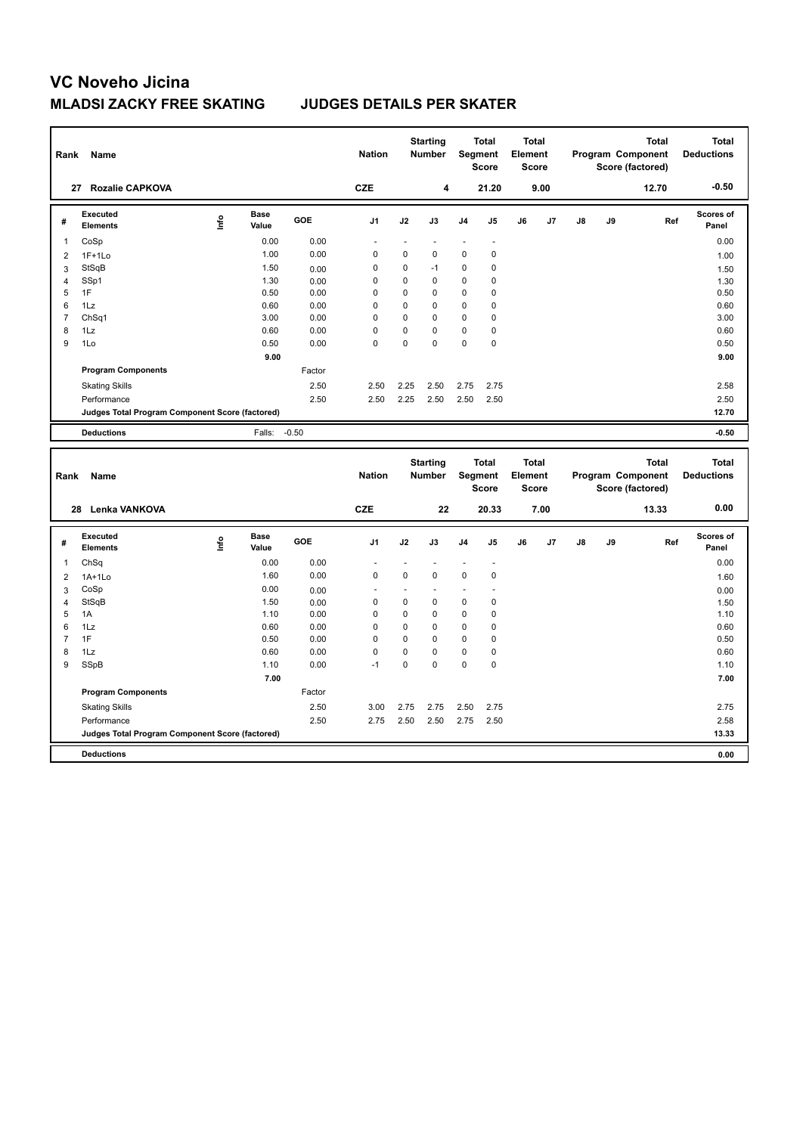| Rank           | Name                                            |      |                      |              | <b>Nation</b>           |               | <b>Starting</b><br>Number |                  | <b>Total</b><br>Segment<br><b>Score</b> | Element | <b>Total</b><br><b>Score</b> |               |    | <b>Total</b><br>Program Component<br>Score (factored) | <b>Total</b><br><b>Deductions</b> |
|----------------|-------------------------------------------------|------|----------------------|--------------|-------------------------|---------------|---------------------------|------------------|-----------------------------------------|---------|------------------------------|---------------|----|-------------------------------------------------------|-----------------------------------|
|                | 27 Rozalie CAPKOVA                              |      |                      |              | <b>CZE</b>              |               | 4                         |                  | 21.20                                   |         | 9.00                         |               |    | 12.70                                                 | $-0.50$                           |
| #              | <b>Executed</b><br><b>Elements</b>              | lnfo | <b>Base</b><br>Value | GOE          | J <sub>1</sub>          | J2            | J3                        | J4               | J5                                      | J6      | J7                           | J8            | J9 | Ref                                                   | <b>Scores of</b><br>Panel         |
| $\mathbf{1}$   | CoSp                                            |      | 0.00                 | 0.00         | ä,                      | ä,            |                           | ÷,               | ä,                                      |         |                              |               |    |                                                       | 0.00                              |
| $\overline{2}$ | $1F+1Lo$                                        |      | 1.00                 | 0.00         | 0                       | 0             | $\mathbf 0$               | 0                | 0                                       |         |                              |               |    |                                                       | 1.00                              |
| 3              | StSqB                                           |      | 1.50                 | 0.00         | 0                       | $\mathbf 0$   | $-1$                      | 0                | 0                                       |         |                              |               |    |                                                       | 1.50                              |
| $\overline{4}$ | SSp1                                            |      | 1.30                 | 0.00         | $\mathbf 0$             | 0             | $\mathbf 0$               | $\mathbf 0$      | 0                                       |         |                              |               |    |                                                       | 1.30                              |
| 5              | 1F                                              |      | 0.50                 | 0.00         | $\mathbf 0$             | 0             | $\mathbf 0$               | $\mathbf 0$      | 0                                       |         |                              |               |    |                                                       | 0.50                              |
| 6              | 1Lz                                             |      | 0.60                 | 0.00         | 0                       | 0             | $\mathbf 0$               | 0                | 0                                       |         |                              |               |    |                                                       | 0.60                              |
| 7              | ChSq1                                           |      | 3.00                 | 0.00         | $\mathbf 0$             | 0             | $\mathbf 0$               | $\mathbf 0$      | 0                                       |         |                              |               |    |                                                       | 3.00                              |
| 8<br>9         | 1Lz                                             |      | 0.60                 | 0.00<br>0.00 | $\mathbf 0$<br>$\Omega$ | 0<br>$\Omega$ | $\mathbf 0$<br>$\Omega$   | 0<br>$\mathbf 0$ | 0<br>0                                  |         |                              |               |    |                                                       | 0.60                              |
|                | 1Lo                                             |      | 0.50                 |              |                         |               |                           |                  |                                         |         |                              |               |    |                                                       | 0.50                              |
|                |                                                 |      | 9.00                 |              |                         |               |                           |                  |                                         |         |                              |               |    |                                                       | 9.00                              |
|                | <b>Program Components</b>                       |      |                      | Factor       |                         |               |                           |                  |                                         |         |                              |               |    |                                                       |                                   |
|                | <b>Skating Skills</b>                           |      |                      | 2.50         | 2.50                    | 2.25          | 2.50                      | 2.75             | 2.75                                    |         |                              |               |    |                                                       | 2.58                              |
|                | Performance                                     |      |                      | 2.50         | 2.50                    | 2.25          | 2.50                      | 2.50             | 2.50                                    |         |                              |               |    |                                                       | 2.50                              |
|                | Judges Total Program Component Score (factored) |      |                      |              |                         |               |                           |                  |                                         |         |                              |               |    |                                                       | 12.70                             |
|                | <b>Deductions</b>                               |      | Falls:               | $-0.50$      |                         |               |                           |                  |                                         |         |                              |               |    |                                                       | $-0.50$                           |
| Rank           | Name                                            |      |                      |              | <b>Nation</b>           |               | <b>Starting</b><br>Number |                  | <b>Total</b><br>Segment                 | Element | <b>Total</b>                 |               |    | <b>Total</b><br>Program Component                     | <b>Total</b><br><b>Deductions</b> |
|                |                                                 |      |                      |              |                         |               |                           |                  | <b>Score</b>                            |         | <b>Score</b>                 |               |    | Score (factored)                                      |                                   |
|                | Lenka VANKOVA<br>28                             |      |                      |              | <b>CZE</b>              |               | 22                        |                  | 20.33                                   |         | 7.00                         |               |    | 13.33                                                 | 0.00                              |
| #              | <b>Executed</b><br>Elements                     | Life | Base<br>Value        | GOE          | J <sub>1</sub>          | J2            | J3                        | J4               | J5                                      | J6      | J7                           | $\mathsf{J}8$ | J9 | Ref                                                   | <b>Scores of</b><br>Panel         |
| $\mathbf{1}$   | ChSq                                            |      | 0.00                 | 0.00         |                         |               |                           |                  | ä,                                      |         |                              |               |    |                                                       | 0.00                              |
| $\overline{2}$ | $1A+1Lo$                                        |      | 1.60                 | 0.00         | $\mathbf 0$             | 0             | $\mathbf 0$               | $\mathbf 0$      | 0                                       |         |                              |               |    |                                                       | 1.60                              |
| 3              | CoSp                                            |      | 0.00                 | 0.00         |                         | ä,            |                           |                  | ÷,                                      |         |                              |               |    |                                                       | 0.00                              |
| $\overline{4}$ | StSqB                                           |      | 1.50                 | 0.00         | 0                       | 0             | $\mathbf 0$               | 0                | 0                                       |         |                              |               |    |                                                       | 1.50                              |
| 5              | 1A                                              |      | 1.10                 | 0.00         | $\mathbf 0$             | 0             | $\mathbf 0$               | $\mathbf 0$      | 0                                       |         |                              |               |    |                                                       | 1.10                              |
| 6              | 1Lz                                             |      | 0.60                 | 0.00         | $\mathbf 0$             | 0             | $\mathbf 0$               | 0                | 0                                       |         |                              |               |    |                                                       | 0.60                              |
| $\overline{7}$ | 1F                                              |      | 0.50                 | 0.00         | $\Omega$                | $\Omega$      | $\Omega$                  | $\mathbf 0$      | 0                                       |         |                              |               |    |                                                       | 0.50                              |
| 8              | 1Lz                                             |      | 0.60                 | 0.00         | $\mathbf 0$             | 0             | $\mathbf 0$               | 0                | 0                                       |         |                              |               |    |                                                       | 0.60                              |
| 9              | SSpB                                            |      | 1.10                 | 0.00         | $-1$                    | 0             | $\mathbf 0$               | $\mathbf 0$      | 0                                       |         |                              |               |    |                                                       | 1.10                              |
|                |                                                 |      | 7.00                 |              |                         |               |                           |                  |                                         |         |                              |               |    |                                                       | 7.00                              |
|                | <b>Program Components</b>                       |      |                      | Factor       |                         |               |                           |                  |                                         |         |                              |               |    |                                                       |                                   |
|                | <b>Skating Skills</b>                           |      |                      | 2.50         | 3.00                    | 2.75          | 2.75                      | 2.50             | 2.75                                    |         |                              |               |    |                                                       | 2.75                              |
|                | Performance                                     |      |                      | 2.50         | 2.75                    | 2.50          | 2.50                      | 2.75             | 2.50                                    |         |                              |               |    |                                                       | 2.58                              |
|                | Judges Total Program Component Score (factored) |      |                      |              |                         |               |                           |                  |                                         |         |                              |               |    |                                                       | 13.33                             |